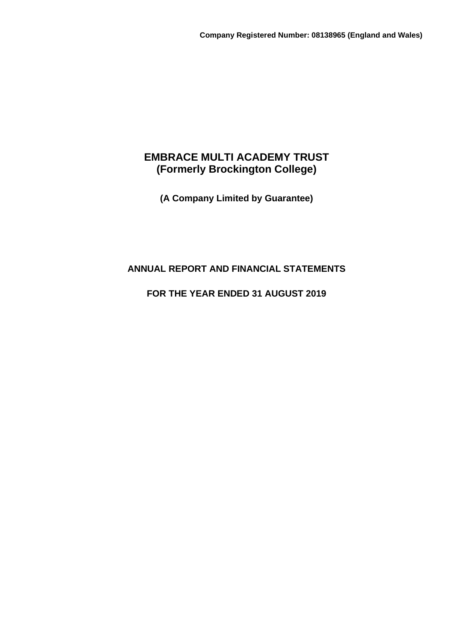# **EMBRACE MULTI ACADEMY TRUST (Formerly Brockington College)**

**(A Company Limited by Guarantee)**

# **ANNUAL REPORT AND FINANCIAL STATEMENTS**

# **FOR THE YEAR ENDED 31 AUGUST 2019**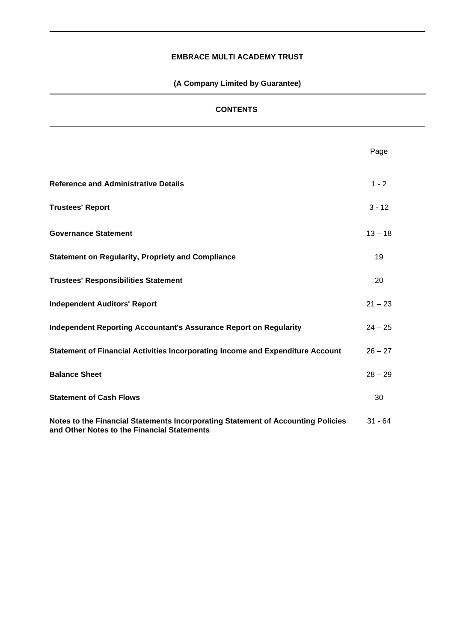# **(A Company Limited by Guarantee)**

# **CONTENTS**

|                                                                                                                                 | Page      |
|---------------------------------------------------------------------------------------------------------------------------------|-----------|
| <b>Reference and Administrative Details</b>                                                                                     | $1 - 2$   |
| <b>Trustees' Report</b>                                                                                                         | $3 - 12$  |
| <b>Governance Statement</b>                                                                                                     | $13 - 18$ |
| <b>Statement on Regularity, Propriety and Compliance</b>                                                                        | 19        |
| <b>Trustees' Responsibilities Statement</b>                                                                                     | 20        |
| <b>Independent Auditors' Report</b>                                                                                             | $21 - 23$ |
| <b>Independent Reporting Accountant's Assurance Report on Regularity</b>                                                        | $24 - 25$ |
| Statement of Financial Activities Incorporating Income and Expenditure Account                                                  | $26 - 27$ |
| <b>Balance Sheet</b>                                                                                                            | $28 - 29$ |
| <b>Statement of Cash Flows</b>                                                                                                  | 30        |
| Notes to the Financial Statements Incorporating Statement of Accounting Policies<br>and Other Notes to the Financial Statements | $31 - 64$ |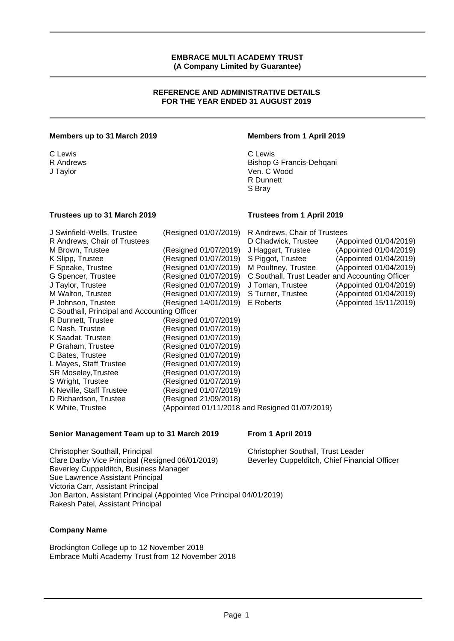#### **REFERENCE AND ADMINISTRATIVE DETAILS FOR THE YEAR ENDED 31 AUGUST 2019**

#### **Members up to 31 March 2019 Members from 1 April 2019**

C Lewis C Lewis

R Andrews Bishop G Francis-Dehqani Ven. C Wood R Dunnett S Bray

#### **Trustees up to 31 March 2019 Trustees from 1 April 2019**

| J Swinfield-Wells, Trustee                   | (Resigned 01/07/2019)                     | R Andrews, Chair of Trustees                    |                        |
|----------------------------------------------|-------------------------------------------|-------------------------------------------------|------------------------|
| R Andrews, Chair of Trustees                 |                                           | D Chadwick, Trustee                             | (Appointed 01/04/2019) |
| M Brown, Trustee                             | (Resigned 01/07/2019)                     | J Haggart, Trustee                              | (Appointed 01/04/2019) |
| K Slipp, Trustee                             | (Resigned 01/07/2019)                     | S Piggot, Trustee                               | (Appointed 01/04/2019) |
| F Speake, Trustee                            | (Resigned 01/07/2019) M Poultney, Trustee |                                                 | (Appointed 01/04/2019) |
| G Spencer, Trustee                           | (Resigned 01/07/2019)                     | C Southall, Trust Leader and Accounting Officer |                        |
| J Taylor, Trustee                            | (Resigned 01/07/2019)                     | J Toman, Trustee                                | (Appointed 01/04/2019) |
| M Walton, Trustee                            | (Resigned 01/07/2019)                     | S Turner, Trustee                               | (Appointed 01/04/2019) |
| P Johnson, Trustee                           | (Resigned 14/01/2019)                     | E Roberts                                       | (Appointed 15/11/2019) |
| C Southall, Principal and Accounting Officer |                                           |                                                 |                        |
| R Dunnett, Trustee                           | (Resigned 01/07/2019)                     |                                                 |                        |
| C Nash, Trustee                              | (Resigned 01/07/2019)                     |                                                 |                        |
| K Saadat, Trustee                            | (Resigned 01/07/2019)                     |                                                 |                        |
| P Graham, Trustee                            | (Resigned 01/07/2019)                     |                                                 |                        |
| C Bates, Trustee                             | (Resigned 01/07/2019)                     |                                                 |                        |
| L Mayes, Staff Trustee                       | (Resigned 01/07/2019)                     |                                                 |                        |
| SR Moseley, Trustee                          | (Resigned 01/07/2019)                     |                                                 |                        |
| S Wright, Trustee                            | (Resigned 01/07/2019)                     |                                                 |                        |
| K Neville, Staff Trustee                     | (Resigned 01/07/2019)                     |                                                 |                        |
| D Richardson, Trustee                        | (Resigned 21/09/2018)                     |                                                 |                        |
| K White, Trustee                             |                                           | (Appointed 01/11/2018 and Resigned 01/07/2019)  |                        |

#### **Senior Management Team up to 31 March 2019 From 1 April 2019**

Christopher Southall, Principal Christopher Southall, Trust Leader Clare Darby Vice Principal (Resigned 06/01/2019) Beverley Cuppelditch, Chief Financial Officer Beverley Cuppelditch, Business Manager Sue Lawrence Assistant Principal Victoria Carr, Assistant Principal Jon Barton, Assistant Principal (Appointed Vice Principal 04/01/2019) Rakesh Patel, Assistant Principal

# **Company Name**

Brockington College up to 12 November 2018 Embrace Multi Academy Trust from 12 November 2018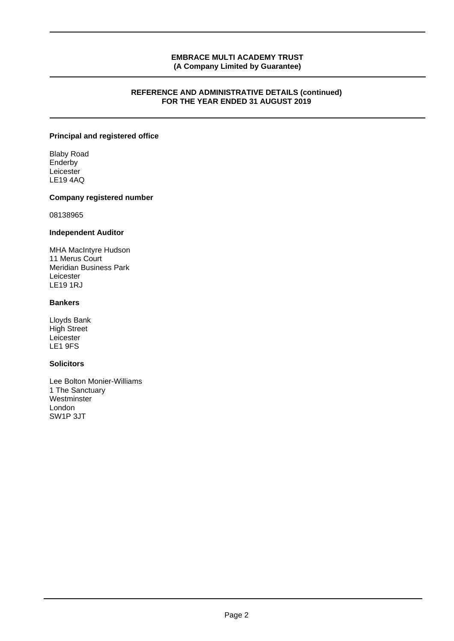#### **REFERENCE AND ADMINISTRATIVE DETAILS (continued) FOR THE YEAR ENDED 31 AUGUST 2019**

# **Principal and registered office**

Blaby Road **Enderby** Leicester LE19 4AQ

#### **Company registered number**

08138965

#### **Independent Auditor**

MHA MacIntyre Hudson 11 Merus Court Meridian Business Park Leicester LE19 1RJ

# **Bankers**

Lloyds Bank High Street Leicester LE1 9FS

# **Solicitors**

Lee Bolton Monier-Williams 1 The Sanctuary Westminster London SW1P 3JT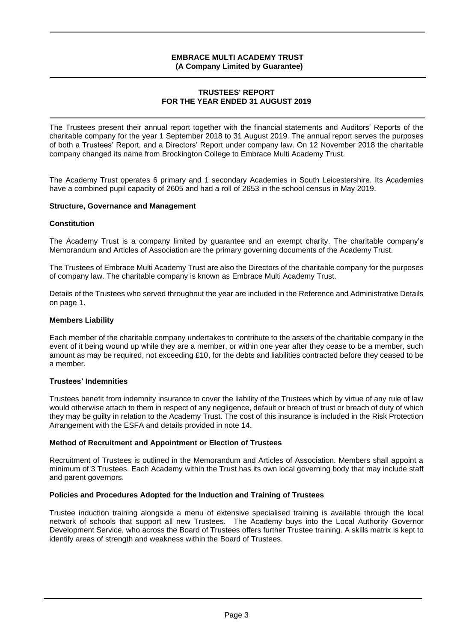#### **TRUSTEES' REPORT FOR THE YEAR ENDED 31 AUGUST 2019**

The Trustees present their annual report together with the financial statements and Auditors' Reports of the charitable company for the year 1 September 2018 to 31 August 2019. The annual report serves the purposes of both a Trustees' Report, and a Directors' Report under company law. On 12 November 2018 the charitable company changed its name from Brockington College to Embrace Multi Academy Trust.

The Academy Trust operates 6 primary and 1 secondary Academies in South Leicestershire. Its Academies have a combined pupil capacity of 2605 and had a roll of 2653 in the school census in May 2019.

#### **Structure, Governance and Management**

#### **Constitution**

The Academy Trust is a company limited by guarantee and an exempt charity. The charitable company's Memorandum and Articles of Association are the primary governing documents of the Academy Trust.

The Trustees of Embrace Multi Academy Trust are also the Directors of the charitable company for the purposes of company law. The charitable company is known as Embrace Multi Academy Trust.

Details of the Trustees who served throughout the year are included in the Reference and Administrative Details on page 1.

#### **Members Liability**

Each member of the charitable company undertakes to contribute to the assets of the charitable company in the event of it being wound up while they are a member, or within one year after they cease to be a member, such amount as may be required, not exceeding £10, for the debts and liabilities contracted before they ceased to be a member.

#### **Trustees' Indemnities**

Trustees benefit from indemnity insurance to cover the liability of the Trustees which by virtue of any rule of law would otherwise attach to them in respect of any negligence, default or breach of trust or breach of duty of which they may be guilty in relation to the Academy Trust. The cost of this insurance is included in the Risk Protection Arrangement with the ESFA and details provided in note 14.

#### **Method of Recruitment and Appointment or Election of Trustees**

Recruitment of Trustees is outlined in the Memorandum and Articles of Association. Members shall appoint a minimum of 3 Trustees. Each Academy within the Trust has its own local governing body that may include staff and parent governors.

#### **Policies and Procedures Adopted for the Induction and Training of Trustees**

Trustee induction training alongside a menu of extensive specialised training is available through the local network of schools that support all new Trustees. The Academy buys into the Local Authority Governor Development Service, who across the Board of Trustees offers further Trustee training. A skills matrix is kept to identify areas of strength and weakness within the Board of Trustees.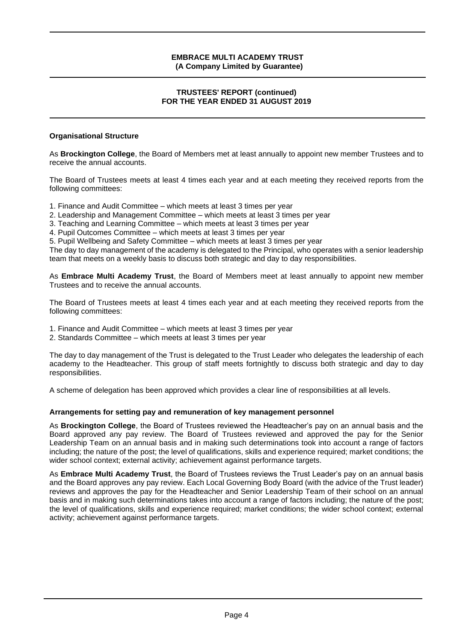## **TRUSTEES' REPORT (continued) FOR THE YEAR ENDED 31 AUGUST 2019**

# **Organisational Structure**

As **Brockington College**, the Board of Members met at least annually to appoint new member Trustees and to receive the annual accounts.

The Board of Trustees meets at least 4 times each year and at each meeting they received reports from the following committees:

- 1. Finance and Audit Committee which meets at least 3 times per year
- 2. Leadership and Management Committee which meets at least 3 times per year
- 3. Teaching and Learning Committee which meets at least 3 times per year
- 4. Pupil Outcomes Committee which meets at least 3 times per year

5. Pupil Wellbeing and Safety Committee – which meets at least 3 times per year

The day to day management of the academy is delegated to the Principal, who operates with a senior leadership team that meets on a weekly basis to discuss both strategic and day to day responsibilities.

As **Embrace Multi Academy Trust**, the Board of Members meet at least annually to appoint new member Trustees and to receive the annual accounts.

The Board of Trustees meets at least 4 times each year and at each meeting they received reports from the following committees:

- 1. Finance and Audit Committee which meets at least 3 times per year
- 2. Standards Committee which meets at least 3 times per year

The day to day management of the Trust is delegated to the Trust Leader who delegates the leadership of each academy to the Headteacher. This group of staff meets fortnightly to discuss both strategic and day to day responsibilities.

A scheme of delegation has been approved which provides a clear line of responsibilities at all levels.

# **Arrangements for setting pay and remuneration of key management personnel**

As **Brockington College**, the Board of Trustees reviewed the Headteacher's pay on an annual basis and the Board approved any pay review. The Board of Trustees reviewed and approved the pay for the Senior Leadership Team on an annual basis and in making such determinations took into account a range of factors including; the nature of the post; the level of qualifications, skills and experience required; market conditions; the wider school context; external activity; achievement against performance targets.

As **Embrace Multi Academy Trust**, the Board of Trustees reviews the Trust Leader's pay on an annual basis and the Board approves any pay review. Each Local Governing Body Board (with the advice of the Trust leader) reviews and approves the pay for the Headteacher and Senior Leadership Team of their school on an annual basis and in making such determinations takes into account a range of factors including; the nature of the post; the level of qualifications, skills and experience required; market conditions; the wider school context; external activity; achievement against performance targets.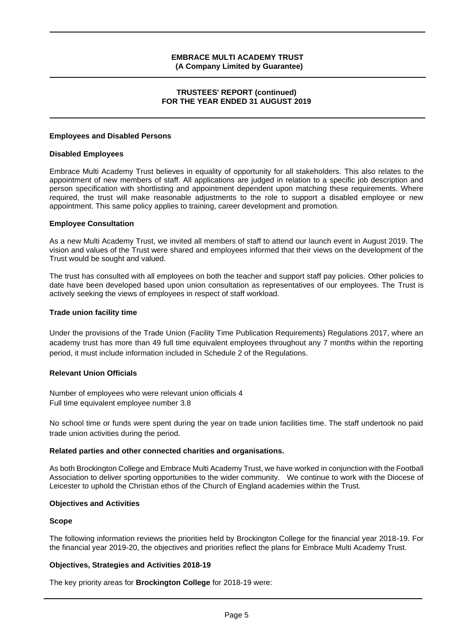#### **TRUSTEES' REPORT (continued) FOR THE YEAR ENDED 31 AUGUST 2019**

#### **Employees and Disabled Persons**

#### **Disabled Employees**

Embrace Multi Academy Trust believes in equality of opportunity for all stakeholders. This also relates to the appointment of new members of staff. All applications are judged in relation to a specific job description and person specification with shortlisting and appointment dependent upon matching these requirements. Where required, the trust will make reasonable adjustments to the role to support a disabled employee or new appointment. This same policy applies to training, career development and promotion.

#### **Employee Consultation**

As a new Multi Academy Trust, we invited all members of staff to attend our launch event in August 2019. The vision and values of the Trust were shared and employees informed that their views on the development of the Trust would be sought and valued.

The trust has consulted with all employees on both the teacher and support staff pay policies. Other policies to date have been developed based upon union consultation as representatives of our employees. The Trust is actively seeking the views of employees in respect of staff workload.

#### **Trade union facility time**

Under the provisions of the Trade Union (Facility Time Publication Requirements) Regulations 2017, where an academy trust has more than 49 full time equivalent employees throughout any 7 months within the reporting period, it must include information included in Schedule 2 of the Regulations.

#### **Relevant Union Officials**

Number of employees who were relevant union officials 4 Full time equivalent employee number 3.8

No school time or funds were spent during the year on trade union facilities time. The staff undertook no paid trade union activities during the period.

#### **Related parties and other connected charities and organisations.**

As both Brockington College and Embrace Multi Academy Trust, we have worked in conjunction with the Football Association to deliver sporting opportunities to the wider community. We continue to work with the Diocese of Leicester to uphold the Christian ethos of the Church of England academies within the Trust.

#### **Objectives and Activities**

#### **Scope**

The following information reviews the priorities held by Brockington College for the financial year 2018-19. For the financial year 2019-20, the objectives and priorities reflect the plans for Embrace Multi Academy Trust.

#### **Objectives, Strategies and Activities 2018-19**

The key priority areas for **Brockington College** for 2018-19 were: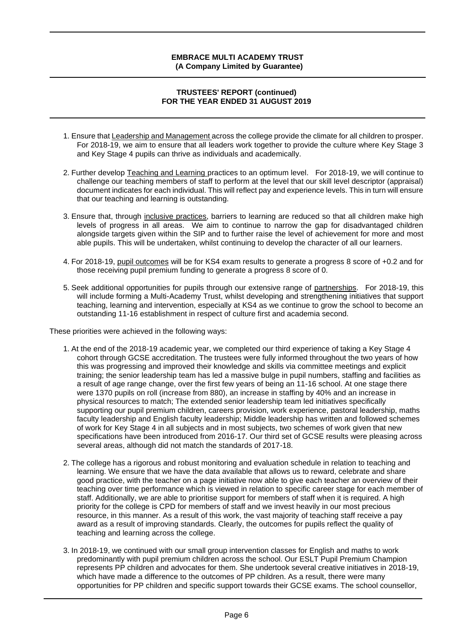#### **TRUSTEES' REPORT (continued) FOR THE YEAR ENDED 31 AUGUST 2019**

- 1. Ensure that Leadership and Management across the college provide the climate for all children to prosper. For 2018-19, we aim to ensure that all leaders work together to provide the culture where Key Stage 3 and Key Stage 4 pupils can thrive as individuals and academically.
- 2. Further develop Teaching and Learning practices to an optimum level. For 2018-19, we will continue to challenge our teaching members of staff to perform at the level that our skill level descriptor (appraisal) document indicates for each individual. This will reflect pay and experience levels. This in turn will ensure that our teaching and learning is outstanding.
- 3. Ensure that, through inclusive practices, barriers to learning are reduced so that all children make high levels of progress in all areas. We aim to continue to narrow the gap for disadvantaged children alongside targets given within the SIP and to further raise the level of achievement for more and most able pupils. This will be undertaken, whilst continuing to develop the character of all our learners.
- 4. For 2018-19, pupil outcomes will be for KS4 exam results to generate a progress 8 score of +0.2 and for those receiving pupil premium funding to generate a progress 8 score of 0.
- 5. Seek additional opportunities for pupils through our extensive range of partnerships. For 2018-19, this will include forming a Multi-Academy Trust, whilst developing and strengthening initiatives that support teaching, learning and intervention, especially at KS4 as we continue to grow the school to become an outstanding 11-16 establishment in respect of culture first and academia second.

These priorities were achieved in the following ways:

- 1. At the end of the 2018-19 academic year, we completed our third experience of taking a Key Stage 4 cohort through GCSE accreditation. The trustees were fully informed throughout the two years of how this was progressing and improved their knowledge and skills via committee meetings and explicit training; the senior leadership team has led a massive bulge in pupil numbers, staffing and facilities as a result of age range change, over the first few years of being an 11-16 school. At one stage there were 1370 pupils on roll (increase from 880), an increase in staffing by 40% and an increase in physical resources to match; The extended senior leadership team led initiatives specifically supporting our pupil premium children, careers provision, work experience, pastoral leadership, maths faculty leadership and English faculty leadership; Middle leadership has written and followed schemes of work for Key Stage 4 in all subjects and in most subjects, two schemes of work given that new specifications have been introduced from 2016-17. Our third set of GCSE results were pleasing across several areas, although did not match the standards of 2017-18.
- 2. The college has a rigorous and robust monitoring and evaluation schedule in relation to teaching and learning. We ensure that we have the data available that allows us to reward, celebrate and share good practice, with the teacher on a page initiative now able to give each teacher an overview of their teaching over time performance which is viewed in relation to specific career stage for each member of staff. Additionally, we are able to prioritise support for members of staff when it is required. A high priority for the college is CPD for members of staff and we invest heavily in our most precious resource, in this manner. As a result of this work, the vast majority of teaching staff receive a pay award as a result of improving standards. Clearly, the outcomes for pupils reflect the quality of teaching and learning across the college.
- 3. In 2018-19, we continued with our small group intervention classes for English and maths to work predominantly with pupil premium children across the school. Our ESLT Pupil Premium Champion represents PP children and advocates for them. She undertook several creative initiatives in 2018-19, which have made a difference to the outcomes of PP children. As a result, there were many opportunities for PP children and specific support towards their GCSE exams. The school counsellor,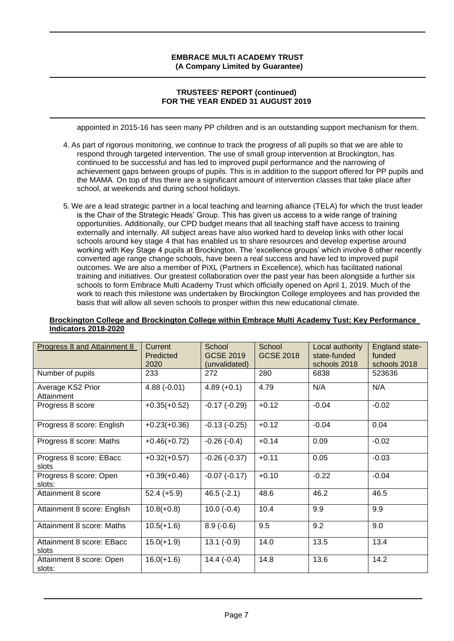## **TRUSTEES' REPORT (continued) FOR THE YEAR ENDED 31 AUGUST 2019**

appointed in 2015-16 has seen many PP children and is an outstanding support mechanism for them.

- 4. As part of rigorous monitoring, we continue to track the progress of all pupils so that we are able to respond through targeted intervention. The use of small group intervention at Brockington, has continued to be successful and has led to improved pupil performance and the narrowing of achievement gaps between groups of pupils. This is in addition to the support offered for PP pupils and the MAMA. On top of this there are a significant amount of intervention classes that take place after school, at weekends and during school holidays.
- 5. We are a lead strategic partner in a local teaching and learning alliance (TELA) for which the trust leader is the Chair of the Strategic Heads' Group. This has given us access to a wide range of training opportunities. Additionally, our CPD budget means that all teaching staff have access to training externally and internally. All subject areas have also worked hard to develop links with other local schools around key stage 4 that has enabled us to share resources and develop expertise around working with Key Stage 4 pupils at Brockington. The 'excellence groups' which involve 8 other recently converted age range change schools, have been a real success and have led to improved pupil outcomes. We are also a member of PiXL (Partners in Excellence), which has facilitated national training and initiatives. Our greatest collaboration over the past year has been alongside a further six schools to form Embrace Multi Academy Trust which officially opened on April 1, 2019. Much of the work to reach this milestone was undertaken by Brockington College employees and has provided the basis that will allow all seven schools to prosper within this new educational climate.

| Brockington College and Brockington College within Embrace Multi Academy Tust: Key Performance |  |
|------------------------------------------------------------------------------------------------|--|
| Indicators 2018-2020                                                                           |  |

| Progress 8 and Attainment 8        | Current<br>Predicted<br>2020 | School<br><b>GCSE 2019</b><br>(unvalidated) | School<br><b>GCSE 2018</b> | Local authority<br>state-funded<br>schools 2018 | England state-<br>funded<br>schools 2018 |
|------------------------------------|------------------------------|---------------------------------------------|----------------------------|-------------------------------------------------|------------------------------------------|
| Number of pupils                   | 233                          | 272                                         | 280                        | 6838                                            | 523636                                   |
| Average KS2 Prior<br>Attainment    | $4.88(-0.01)$                | $4.89 (+0.1)$                               | 4.79                       | N/A                                             | N/A                                      |
| Progress 8 score                   | $+0.35(+0.52)$               | $-0.17(-0.29)$                              | $+0.12$                    | $-0.04$                                         | $-0.02$                                  |
| Progress 8 score: English          | $+0.23(+0.36)$               | $-0.13(-0.25)$                              | $+0.12$                    | $-0.04$                                         | 0.04                                     |
| Progress 8 score: Maths            | $+0.46(+0.72)$               | $-0.26(-0.4)$                               | $+0.14$                    | 0.09                                            | $-0.02$                                  |
| Progress 8 score: EBacc<br>slots   | $+0.32(+0.57)$               | $-0.26(-0.37)$                              | $+0.11$                    | 0.05                                            | $-0.03$                                  |
| Progress 8 score: Open<br>slots:   | $+0.39(+0.46)$               | $-0.07(-0.17)$                              | $+0.10$                    | $-0.22$                                         | $-0.04$                                  |
| Attainment 8 score                 | $52.4 (+5.9)$                | $46.5(-2.1)$                                | 48.6                       | 46.2                                            | 46.5                                     |
| Attainment 8 score: English        | $10.8(+0.8)$                 | $10.0(-0.4)$                                | 10.4                       | 9.9                                             | 9.9                                      |
| Attainment 8 score: Maths          | $10.5(+1.6)$                 | $8.9(-0.6)$                                 | 9.5                        | 9.2                                             | 9.0                                      |
| Attainment 8 score: EBacc<br>slots | $15.0(+1.9)$                 | $13.1(-0.9)$                                | 14.0                       | 13.5                                            | 13.4                                     |
| Attainment 8 score: Open<br>slots: | $16.0(+1.6)$                 | $14.4(-0.4)$                                | 14.8                       | 13.6                                            | 14.2                                     |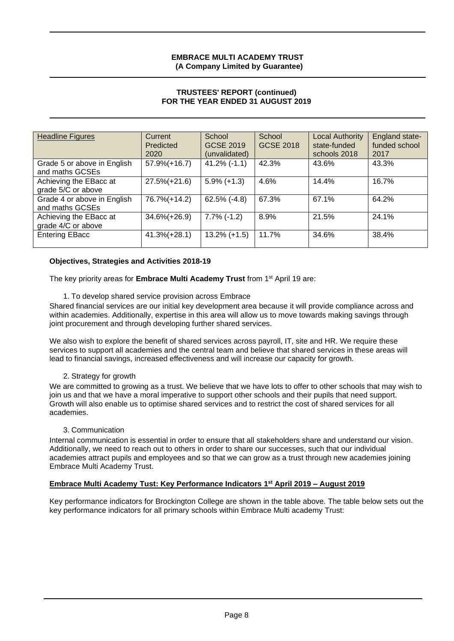## **TRUSTEES' REPORT (continued) FOR THE YEAR ENDED 31 AUGUST 2019**

| <b>Headline Figures</b>     | Current          | School          | School           | <b>Local Authority</b> | England state- |
|-----------------------------|------------------|-----------------|------------------|------------------------|----------------|
|                             | Predicted        | GCSE 2019       | <b>GCSE 2018</b> | state-funded           | funded school  |
|                             | 2020             | (unvalidated)   |                  | schools 2018           | 2017           |
| Grade 5 or above in English | $57.9\% (+16.7)$ | $41.2\%$ (-1.1) | 42.3%            | 43.6%                  | 43.3%          |
| and maths GCSEs             |                  |                 |                  |                        |                |
| Achieving the EBacc at      | $27.5\%(+21.6)$  | $5.9\%$ (+1.3)  | 4.6%             | 14.4%                  | 16.7%          |
| grade 5/C or above          |                  |                 |                  |                        |                |
| Grade 4 or above in English | 76.7%(+14.2)     | $62.5\%$ (-4.8) | 67.3%            | 67.1%                  | 64.2%          |
| and maths GCSEs             |                  |                 |                  |                        |                |
| Achieving the EBacc at      | $34.6\%(+26.9)$  | $7.7\%$ (-1.2)  | 8.9%             | 21.5%                  | 24.1%          |
| grade 4/C or above          |                  |                 |                  |                        |                |
| <b>Entering EBacc</b>       | $41.3\% (+28.1)$ | $13.2\% (+1.5)$ | 11.7%            | 34.6%                  | 38.4%          |
|                             |                  |                 |                  |                        |                |

#### **Objectives, Strategies and Activities 2018-19**

The key priority areas for **Embrace Multi Academy Trust** from 1st April 19 are:

1. To develop shared service provision across Embrace

Shared financial services are our initial key development area because it will provide compliance across and within academies. Additionally, expertise in this area will allow us to move towards making savings through joint procurement and through developing further shared services.

We also wish to explore the benefit of shared services across payroll, IT, site and HR. We require these services to support all academies and the central team and believe that shared services in these areas will lead to financial savings, increased effectiveness and will increase our capacity for growth.

#### 2. Strategy for growth

We are committed to growing as a trust. We believe that we have lots to offer to other schools that may wish to join us and that we have a moral imperative to support other schools and their pupils that need support. Growth will also enable us to optimise shared services and to restrict the cost of shared services for all academies.

#### 3. Communication

Internal communication is essential in order to ensure that all stakeholders share and understand our vision. Additionally, we need to reach out to others in order to share our successes, such that our individual academies attract pupils and employees and so that we can grow as a trust through new academies joining Embrace Multi Academy Trust.

# **Embrace Multi Academy Tust: Key Performance Indicators 1 st April 2019 – August 2019**

Key performance indicators for Brockington College are shown in the table above. The table below sets out the key performance indicators for all primary schools within Embrace Multi academy Trust: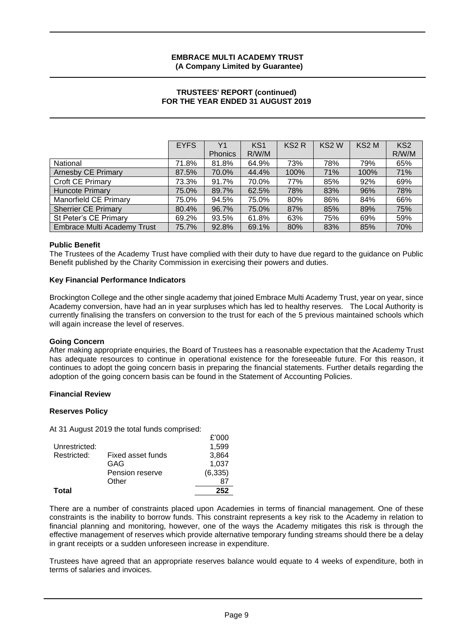#### **TRUSTEES' REPORT (continued) FOR THE YEAR ENDED 31 AUGUST 2019**

|                                    | <b>EYFS</b> | Y <sub>1</sub> | KS <sub>1</sub> | KS <sub>2</sub> R | KS <sub>2</sub> W | KS <sub>2</sub> M | KS <sub>2</sub> |
|------------------------------------|-------------|----------------|-----------------|-------------------|-------------------|-------------------|-----------------|
|                                    |             | <b>Phonics</b> | R/W/M           |                   |                   |                   | R/W/M           |
| National                           | 71.8%       | 81.8%          | 64.9%           | 73%               | 78%               | 79%               | 65%             |
| <b>Arnesby CE Primary</b>          | 87.5%       | 70.0%          | 44.4%           | 100%              | 71%               | 100%              | 71%             |
| Croft CE Primary                   | 73.3%       | 91.7%          | 70.0%           | 77%               | 85%               | 92%               | 69%             |
| <b>Huncote Primary</b>             | 75.0%       | 89.7%          | 62.5%           | 78%               | 83%               | 96%               | 78%             |
| Manorfield CE Primary              | 75.0%       | 94.5%          | 75.0%           | 80%               | 86%               | 84%               | 66%             |
| <b>Sherrier CE Primary</b>         | 80.4%       | 96.7%          | 75.0%           | 87%               | 85%               | 89%               | 75%             |
| St Peter's CE Primary              | 69.2%       | 93.5%          | 61.8%           | 63%               | 75%               | 69%               | 59%             |
| <b>Embrace Multi Academy Trust</b> | 75.7%       | 92.8%          | 69.1%           | 80%               | 83%               | 85%               | 70%             |

#### **Public Benefit**

The Trustees of the Academy Trust have complied with their duty to have due regard to the guidance on Public Benefit published by the Charity Commission in exercising their powers and duties.

#### **Key Financial Performance Indicators**

Brockington College and the other single academy that joined Embrace Multi Academy Trust, year on year, since Academy conversion, have had an in year surpluses which has led to healthy reserves. The Local Authority is currently finalising the transfers on conversion to the trust for each of the 5 previous maintained schools which will again increase the level of reserves.

#### **Going Concern**

After making appropriate enquiries, the Board of Trustees has a reasonable expectation that the Academy Trust has adequate resources to continue in operational existence for the foreseeable future. For this reason, it continues to adopt the going concern basis in preparing the financial statements. Further details regarding the adoption of the going concern basis can be found in the Statement of Accounting Policies.

#### **Financial Review**

#### **Reserves Policy**

At 31 August 2019 the total funds comprised:

| Total         |                   | 252      |
|---------------|-------------------|----------|
|               | Other             |          |
|               | Pension reserve   | (6, 335) |
|               | GAG               | 1.037    |
| Restricted:   | Fixed asset funds | 3.864    |
| Unrestricted: |                   | 1.599    |
|               |                   | £'000    |

There are a number of constraints placed upon Academies in terms of financial management. One of these constraints is the inability to borrow funds. This constraint represents a key risk to the Academy in relation to financial planning and monitoring, however, one of the ways the Academy mitigates this risk is through the effective management of reserves which provide alternative temporary funding streams should there be a delay in grant receipts or a sudden unforeseen increase in expenditure.

Trustees have agreed that an appropriate reserves balance would equate to 4 weeks of expenditure, both in terms of salaries and invoices.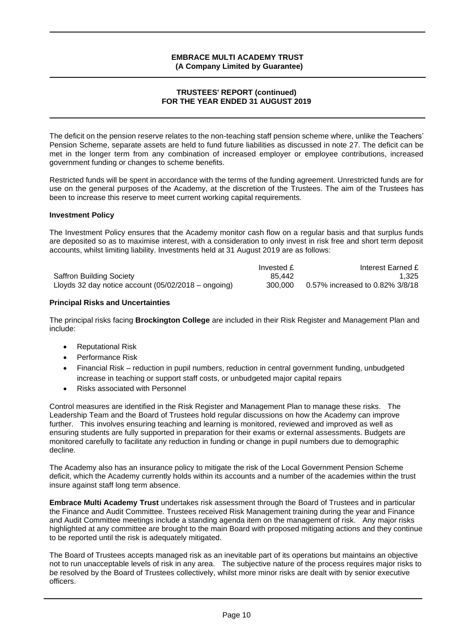#### **TRUSTEES' REPORT (continued) FOR THE YEAR ENDED 31 AUGUST 2019**

The deficit on the pension reserve relates to the non-teaching staff pension scheme where, unlike the Teachers' Pension Scheme, separate assets are held to fund future liabilities as discussed in note 27. The deficit can be met in the longer term from any combination of increased employer or employee contributions, increased government funding or changes to scheme benefits.

Restricted funds will be spent in accordance with the terms of the funding agreement. Unrestricted funds are for use on the general purposes of the Academy, at the discretion of the Trustees. The aim of the Trustees has been to increase this reserve to meet current working capital requirements.

#### **Investment Policy**

The Investment Policy ensures that the Academy monitor cash flow on a regular basis and that surplus funds are deposited so as to maximise interest, with a consideration to only invest in risk free and short term deposit accounts, whilst limiting liability. Investments held at 31 August 2019 are as follows:

|                                                       | Invested £ | Interest Earned £               |
|-------------------------------------------------------|------------|---------------------------------|
| <b>Saffron Building Society</b>                       | 85.442     | 1.325                           |
| Lloyds 32 day notice account $(05/02/2018 -$ ongoing) | 300,000    | 0.57% increased to 0.82% 3/8/18 |

# **Principal Risks and Uncertainties**

The principal risks facing **Brockington College** are included in their Risk Register and Management Plan and include:

- Reputational Risk
- Performance Risk
- Financial Risk reduction in pupil numbers, reduction in central government funding, unbudgeted increase in teaching or support staff costs, or unbudgeted major capital repairs
- Risks associated with Personnel

Control measures are identified in the Risk Register and Management Plan to manage these risks. The Leadership Team and the Board of Trustees hold regular discussions on how the Academy can improve further. This involves ensuring teaching and learning is monitored, reviewed and improved as well as ensuring students are fully supported in preparation for their exams or external assessments. Budgets are monitored carefully to facilitate any reduction in funding or change in pupil numbers due to demographic decline.

The Academy also has an insurance policy to mitigate the risk of the Local Government Pension Scheme deficit, which the Academy currently holds within its accounts and a number of the academies within the trust insure against staff long term absence.

**Embrace Multi Academy Trust** undertakes risk assessment through the Board of Trustees and in particular the Finance and Audit Committee. Trustees received Risk Management training during the year and Finance and Audit Committee meetings include a standing agenda item on the management of risk. Any major risks highlighted at any committee are brought to the main Board with proposed mitigating actions and they continue to be reported until the risk is adequately mitigated.

The Board of Trustees accepts managed risk as an inevitable part of its operations but maintains an objective not to run unacceptable levels of risk in any area. The subjective nature of the process requires major risks to be resolved by the Board of Trustees collectively, whilst more minor risks are dealt with by senior executive officers.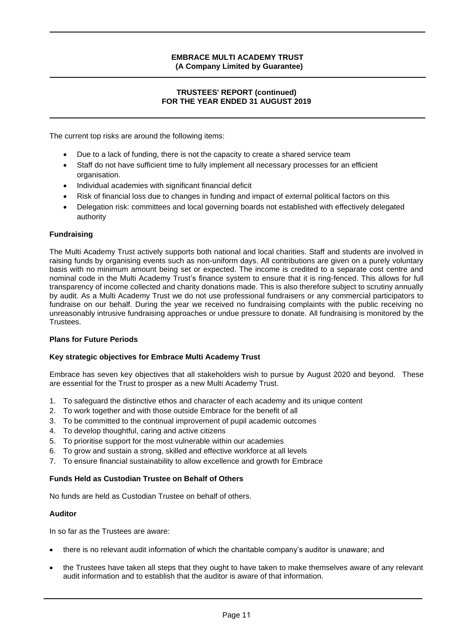## **TRUSTEES' REPORT (continued) FOR THE YEAR ENDED 31 AUGUST 2019**

The current top risks are around the following items:

- Due to a lack of funding, there is not the capacity to create a shared service team
- Staff do not have sufficient time to fully implement all necessary processes for an efficient organisation.
- Individual academies with significant financial deficit
- Risk of financial loss due to changes in funding and impact of external political factors on this
- Delegation risk: committees and local governing boards not established with effectively delegated authority

# **Fundraising**

The Multi Academy Trust actively supports both national and local charities. Staff and students are involved in raising funds by organising events such as non-uniform days. All contributions are given on a purely voluntary basis with no minimum amount being set or expected. The income is credited to a separate cost centre and nominal code in the Multi Academy Trust's finance system to ensure that it is ring-fenced. This allows for full transparency of income collected and charity donations made. This is also therefore subject to scrutiny annually by audit. As a Multi Academy Trust we do not use professional fundraisers or any commercial participators to fundraise on our behalf. During the year we received no fundraising complaints with the public receiving no unreasonably intrusive fundraising approaches or undue pressure to donate. All fundraising is monitored by the Trustees.

# **Plans for Future Periods**

#### **Key strategic objectives for Embrace Multi Academy Trust**

Embrace has seven key objectives that all stakeholders wish to pursue by August 2020 and beyond. These are essential for the Trust to prosper as a new Multi Academy Trust.

- 1. To safeguard the distinctive ethos and character of each academy and its unique content
- 2. To work together and with those outside Embrace for the benefit of all
- 3. To be committed to the continual improvement of pupil academic outcomes
- 4. To develop thoughtful, caring and active citizens
- 5. To prioritise support for the most vulnerable within our academies
- 6. To grow and sustain a strong, skilled and effective workforce at all levels
- 7. To ensure financial sustainability to allow excellence and growth for Embrace

#### **Funds Held as Custodian Trustee on Behalf of Others**

No funds are held as Custodian Trustee on behalf of others.

#### **Auditor**

In so far as the Trustees are aware:

- there is no relevant audit information of which the charitable company's auditor is unaware; and
- the Trustees have taken all steps that they ought to have taken to make themselves aware of any relevant audit information and to establish that the auditor is aware of that information.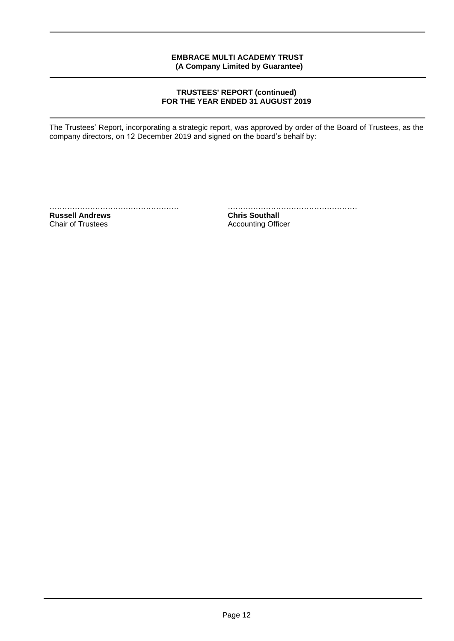## **TRUSTEES' REPORT (continued) FOR THE YEAR ENDED 31 AUGUST 2019**

The Trustees' Report, incorporating a strategic report, was approved by order of the Board of Trustees, as the company directors, on 12 December 2019 and signed on the board's behalf by:

**Russell Andrews Chris Southall Chair of Trustees Chris Southall Chair of Trustees** 

…………………………………………… ……………………………………………

Accounting Officer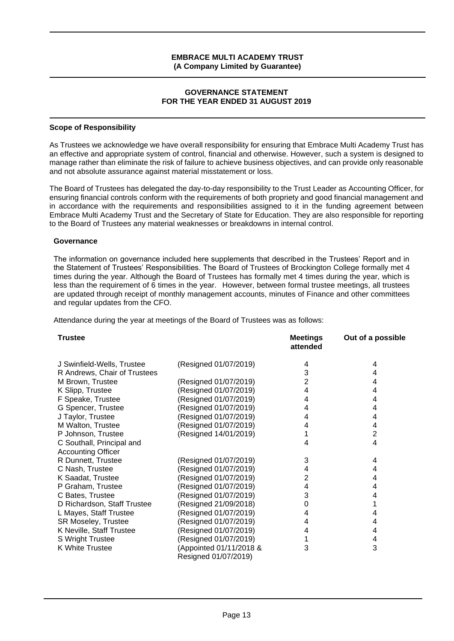#### **GOVERNANCE STATEMENT FOR THE YEAR ENDED 31 AUGUST 2019**

#### **Scope of Responsibility**

As Trustees we acknowledge we have overall responsibility for ensuring that Embrace Multi Academy Trust has an effective and appropriate system of control, financial and otherwise. However, such a system is designed to manage rather than eliminate the risk of failure to achieve business objectives, and can provide only reasonable and not absolute assurance against material misstatement or loss.

The Board of Trustees has delegated the day-to-day responsibility to the Trust Leader as Accounting Officer, for ensuring financial controls conform with the requirements of both propriety and good financial management and in accordance with the requirements and responsibilities assigned to it in the funding agreement between Embrace Multi Academy Trust and the Secretary of State for Education. They are also responsible for reporting to the Board of Trustees any material weaknesses or breakdowns in internal control.

#### **Governance**

The information on governance included here supplements that described in the Trustees' Report and in the Statement of Trustees' Responsibilities. The Board of Trustees of Brockington College formally met 4 times during the year. Although the Board of Trustees has formally met 4 times during the year, which is less than the requirement of 6 times in the year. However, between formal trustee meetings, all trustees are updated through receipt of monthly management accounts, minutes of Finance and other committees and regular updates from the CFO.

Attendance during the year at meetings of the Board of Trustees was as follows:

| <b>Trustee</b>               |                         | <b>Meetings</b><br>attended | Out of a possible |
|------------------------------|-------------------------|-----------------------------|-------------------|
| J Swinfield-Wells, Trustee   | (Resigned 01/07/2019)   | 4                           | 4                 |
| R Andrews, Chair of Trustees |                         | 3                           | 4                 |
| M Brown, Trustee             | (Resigned 01/07/2019)   | $\overline{2}$              | 4                 |
| K Slipp, Trustee             | (Resigned 01/07/2019)   | 4                           | 4                 |
| F Speake, Trustee            | (Resigned 01/07/2019)   | 4                           | 4                 |
| G Spencer, Trustee           | (Resigned 01/07/2019)   | 4                           | 4                 |
| J Taylor, Trustee            | (Resigned 01/07/2019)   | 4                           | 4                 |
| M Walton, Trustee            | (Resigned 01/07/2019)   | 4                           | 4                 |
| P Johnson, Trustee           | (Resigned 14/01/2019)   |                             | $\overline{2}$    |
| C Southall, Principal and    |                         | 4                           | $\overline{4}$    |
| <b>Accounting Officer</b>    |                         |                             |                   |
| R Dunnett, Trustee           | (Resigned 01/07/2019)   | 3                           | 4                 |
| C Nash, Trustee              | (Resigned 01/07/2019)   | 4                           | 4                 |
| K Saadat, Trustee            | (Resigned 01/07/2019)   | $\overline{2}$              | 4                 |
| P Graham, Trustee            | (Resigned 01/07/2019)   | 4                           | 4                 |
| C Bates, Trustee             | (Resigned 01/07/2019)   | 3                           | 4                 |
| D Richardson, Staff Trustee  | (Resigned 21/09/2018)   | 0                           | 1                 |
| L Mayes, Staff Trustee       | (Resigned 01/07/2019)   | 4                           | 4                 |
| SR Moseley, Trustee          | (Resigned 01/07/2019)   | 4                           | 4                 |
| K Neville, Staff Trustee     | (Resigned 01/07/2019)   | 4                           | 4                 |
| S Wright Trustee             | (Resigned 01/07/2019)   |                             | 4                 |
| K White Trustee              | (Appointed 01/11/2018 & | 3                           | 3                 |
|                              | Resigned 01/07/2019)    |                             |                   |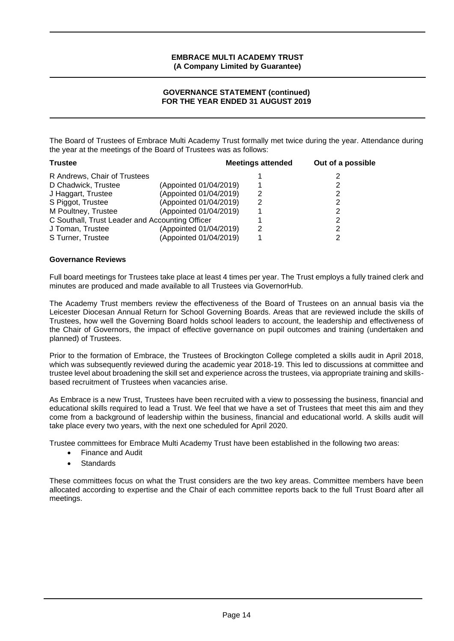# **GOVERNANCE STATEMENT (continued) FOR THE YEAR ENDED 31 AUGUST 2019**

The Board of Trustees of Embrace Multi Academy Trust formally met twice during the year. Attendance during the year at the meetings of the Board of Trustees was as follows:

| <b>Trustee</b>                                  |                        | <b>Meetings attended</b> | Out of a possible |
|-------------------------------------------------|------------------------|--------------------------|-------------------|
| R Andrews, Chair of Trustees                    |                        |                          | 2                 |
| D Chadwick, Trustee                             | (Appointed 01/04/2019) |                          | 2                 |
| J Haggart, Trustee                              | (Appointed 01/04/2019) | 2                        | 2                 |
| S Piggot, Trustee                               | (Appointed 01/04/2019) | 2                        | 2                 |
| M Poultney, Trustee                             | (Appointed 01/04/2019) |                          | 2                 |
| C Southall, Trust Leader and Accounting Officer |                        |                          | 2                 |
| J Toman, Trustee                                | (Appointed 01/04/2019) | 2                        | 2                 |
| S Turner, Trustee                               | (Appointed 01/04/2019) |                          | 2                 |
|                                                 |                        |                          |                   |

# **Governance Reviews**

Full board meetings for Trustees take place at least 4 times per year. The Trust employs a fully trained clerk and minutes are produced and made available to all Trustees via GovernorHub.

The Academy Trust members review the effectiveness of the Board of Trustees on an annual basis via the Leicester Diocesan Annual Return for School Governing Boards. Areas that are reviewed include the skills of Trustees, how well the Governing Board holds school leaders to account, the leadership and effectiveness of the Chair of Governors, the impact of effective governance on pupil outcomes and training (undertaken and planned) of Trustees.

Prior to the formation of Embrace, the Trustees of Brockington College completed a skills audit in April 2018, which was subsequently reviewed during the academic year 2018-19. This led to discussions at committee and trustee level about broadening the skill set and experience across the trustees, via appropriate training and skillsbased recruitment of Trustees when vacancies arise.

As Embrace is a new Trust, Trustees have been recruited with a view to possessing the business, financial and educational skills required to lead a Trust. We feel that we have a set of Trustees that meet this aim and they come from a background of leadership within the business, financial and educational world. A skills audit will take place every two years, with the next one scheduled for April 2020.

Trustee committees for Embrace Multi Academy Trust have been established in the following two areas:

- Finance and Audit
- **Standards**

These committees focus on what the Trust considers are the two key areas. Committee members have been allocated according to expertise and the Chair of each committee reports back to the full Trust Board after all meetings.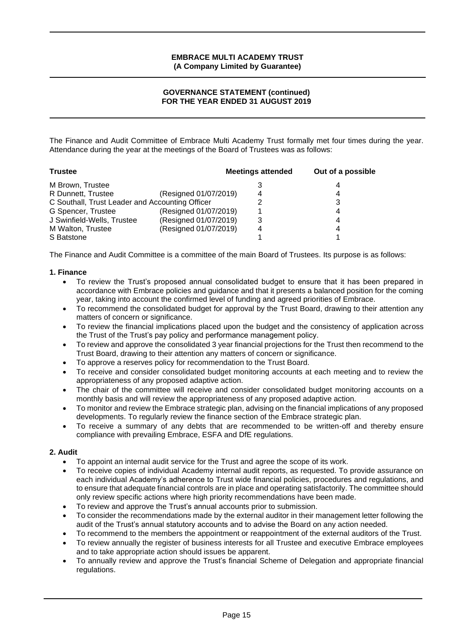# **GOVERNANCE STATEMENT (continued) FOR THE YEAR ENDED 31 AUGUST 2019**

The Finance and Audit Committee of Embrace Multi Academy Trust formally met four times during the year. Attendance during the year at the meetings of the Board of Trustees was as follows:

| <b>Trustee</b>                                  |                       | <b>Meetings attended</b> | Out of a possible |
|-------------------------------------------------|-----------------------|--------------------------|-------------------|
| M Brown, Trustee                                |                       |                          | 4                 |
| R Dunnett, Trustee                              | (Resigned 01/07/2019) | 4                        | 4                 |
| C Southall, Trust Leader and Accounting Officer |                       |                          | 3                 |
| G Spencer, Trustee                              | (Resigned 01/07/2019) |                          | 4                 |
| J Swinfield-Wells, Trustee                      | (Resigned 01/07/2019) | 3                        | 4                 |
| M Walton, Trustee                               | (Resigned 01/07/2019) | 4                        | 4                 |
| S Batstone                                      |                       |                          |                   |

The Finance and Audit Committee is a committee of the main Board of Trustees. Its purpose is as follows:

# **1. Finance**

- To review the Trust's proposed annual consolidated budget to ensure that it has been prepared in accordance with Embrace policies and guidance and that it presents a balanced position for the coming year, taking into account the confirmed level of funding and agreed priorities of Embrace.
- To recommend the consolidated budget for approval by the Trust Board, drawing to their attention any matters of concern or significance.
- To review the financial implications placed upon the budget and the consistency of application across the Trust of the Trust's pay policy and performance management policy.
- To review and approve the consolidated 3 year financial projections for the Trust then recommend to the Trust Board, drawing to their attention any matters of concern or significance.
- To approve a reserves policy for recommendation to the Trust Board.
- To receive and consider consolidated budget monitoring accounts at each meeting and to review the appropriateness of any proposed adaptive action.
- The chair of the committee will receive and consider consolidated budget monitoring accounts on a monthly basis and will review the appropriateness of any proposed adaptive action.
- To monitor and review the Embrace strategic plan, advising on the financial implications of any proposed developments. To regularly review the finance section of the Embrace strategic plan.
- To receive a summary of any debts that are recommended to be written-off and thereby ensure compliance with prevailing Embrace, ESFA and DfE regulations.

#### **2. Audit**

- To appoint an internal audit service for the Trust and agree the scope of its work.
- To receive copies of individual Academy internal audit reports, as requested. To provide assurance on each individual Academy's adherence to Trust wide financial policies, procedures and regulations, and to ensure that adequate financial controls are in place and operating satisfactorily. The committee should only review specific actions where high priority recommendations have been made.
- To review and approve the Trust's annual accounts prior to submission.
- To consider the recommendations made by the external auditor in their management letter following the audit of the Trust's annual statutory accounts and to advise the Board on any action needed.
- To recommend to the members the appointment or reappointment of the external auditors of the Trust.
- To review annually the register of business interests for all Trustee and executive Embrace employees and to take appropriate action should issues be apparent.
- To annually review and approve the Trust's financial Scheme of Delegation and appropriate financial regulations.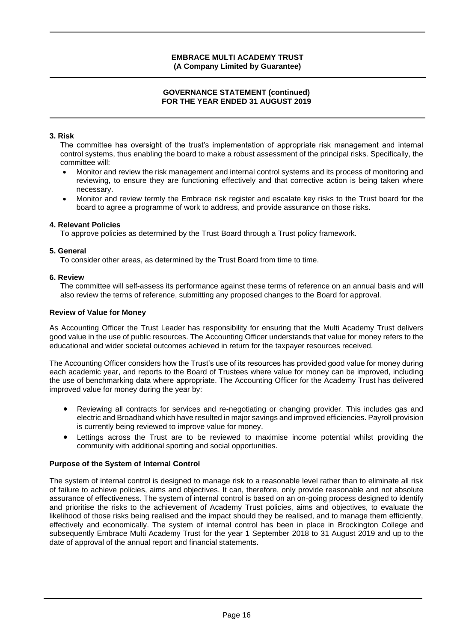## **GOVERNANCE STATEMENT (continued) FOR THE YEAR ENDED 31 AUGUST 2019**

# **3. Risk**

The committee has oversight of the trust's implementation of appropriate risk management and internal control systems, thus enabling the board to make a robust assessment of the principal risks. Specifically, the committee will:

- Monitor and review the risk management and internal control systems and its process of monitoring and reviewing, to ensure they are functioning effectively and that corrective action is being taken where necessary.
- Monitor and review termly the Embrace risk register and escalate key risks to the Trust board for the board to agree a programme of work to address, and provide assurance on those risks.

# **4. Relevant Policies**

To approve policies as determined by the Trust Board through a Trust policy framework.

#### **5. General**

To consider other areas, as determined by the Trust Board from time to time.

#### **6. Review**

The committee will self-assess its performance against these terms of reference on an annual basis and will also review the terms of reference, submitting any proposed changes to the Board for approval.

#### **Review of Value for Money**

As Accounting Officer the Trust Leader has responsibility for ensuring that the Multi Academy Trust delivers good value in the use of public resources. The Accounting Officer understands that value for money refers to the educational and wider societal outcomes achieved in return for the taxpayer resources received.

The Accounting Officer considers how the Trust's use of its resources has provided good value for money during each academic year, and reports to the Board of Trustees where value for money can be improved, including the use of benchmarking data where appropriate. The Accounting Officer for the Academy Trust has delivered improved value for money during the year by:

- Reviewing all contracts for services and re-negotiating or changing provider. This includes gas and electric and Broadband which have resulted in major savings and improved efficiencies. Payroll provision is currently being reviewed to improve value for money.
- Lettings across the Trust are to be reviewed to maximise income potential whilst providing the community with additional sporting and social opportunities.

# **Purpose of the System of Internal Control**

The system of internal control is designed to manage risk to a reasonable level rather than to eliminate all risk of failure to achieve policies, aims and objectives. It can, therefore, only provide reasonable and not absolute assurance of effectiveness. The system of internal control is based on an on-going process designed to identify and prioritise the risks to the achievement of Academy Trust policies, aims and objectives, to evaluate the likelihood of those risks being realised and the impact should they be realised, and to manage them efficiently, effectively and economically. The system of internal control has been in place in Brockington College and subsequently Embrace Multi Academy Trust for the year 1 September 2018 to 31 August 2019 and up to the date of approval of the annual report and financial statements.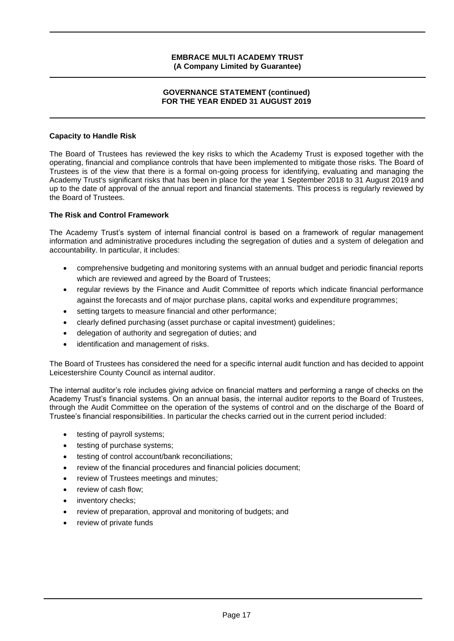#### **GOVERNANCE STATEMENT (continued) FOR THE YEAR ENDED 31 AUGUST 2019**

# **Capacity to Handle Risk**

The Board of Trustees has reviewed the key risks to which the Academy Trust is exposed together with the operating, financial and compliance controls that have been implemented to mitigate those risks. The Board of Trustees is of the view that there is a formal on-going process for identifying, evaluating and managing the Academy Trust's significant risks that has been in place for the year 1 September 2018 to 31 August 2019 and up to the date of approval of the annual report and financial statements. This process is regularly reviewed by the Board of Trustees.

#### **The Risk and Control Framework**

The Academy Trust's system of internal financial control is based on a framework of regular management information and administrative procedures including the segregation of duties and a system of delegation and accountability. In particular, it includes:

- comprehensive budgeting and monitoring systems with an annual budget and periodic financial reports which are reviewed and agreed by the Board of Trustees;
- regular reviews by the Finance and Audit Committee of reports which indicate financial performance against the forecasts and of major purchase plans, capital works and expenditure programmes;
- setting targets to measure financial and other performance;
- clearly defined purchasing (asset purchase or capital investment) guidelines;
- delegation of authority and segregation of duties; and
- identification and management of risks.

The Board of Trustees has considered the need for a specific internal audit function and has decided to appoint Leicestershire County Council as internal auditor.

The internal auditor's role includes giving advice on financial matters and performing a range of checks on the Academy Trust's financial systems. On an annual basis, the internal auditor reports to the Board of Trustees, through the Audit Committee on the operation of the systems of control and on the discharge of the Board of Trustee's financial responsibilities. In particular the checks carried out in the current period included:

- testing of payroll systems;
- testing of purchase systems;
- testing of control account/bank reconciliations;
- review of the financial procedures and financial policies document;
- review of Trustees meetings and minutes;
- review of cash flow;
- inventory checks;
- review of preparation, approval and monitoring of budgets; and
- review of private funds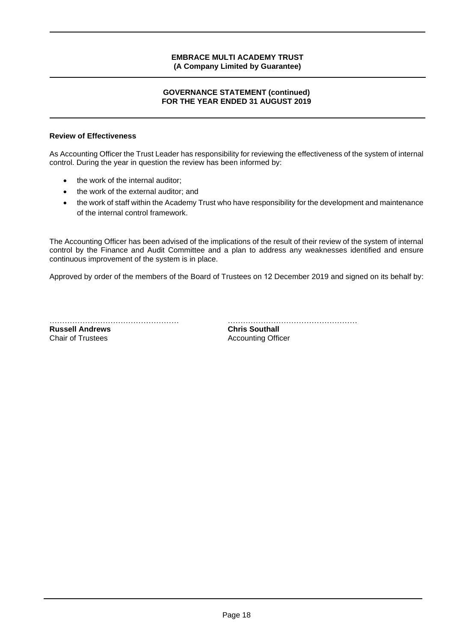## **GOVERNANCE STATEMENT (continued) FOR THE YEAR ENDED 31 AUGUST 2019**

# **Review of Effectiveness**

As Accounting Officer the Trust Leader has responsibility for reviewing the effectiveness of the system of internal control. During the year in question the review has been informed by:

- the work of the internal auditor;
- the work of the external auditor; and
- the work of staff within the Academy Trust who have responsibility for the development and maintenance of the internal control framework.

The Accounting Officer has been advised of the implications of the result of their review of the system of internal control by the Finance and Audit Committee and a plan to address any weaknesses identified and ensure continuous improvement of the system is in place.

Approved by order of the members of the Board of Trustees on 12 December 2019 and signed on its behalf by:

**Russell Andrews**<br>Chair of Trustees

…………………………………………… …………………………………………… **Accounting Officer**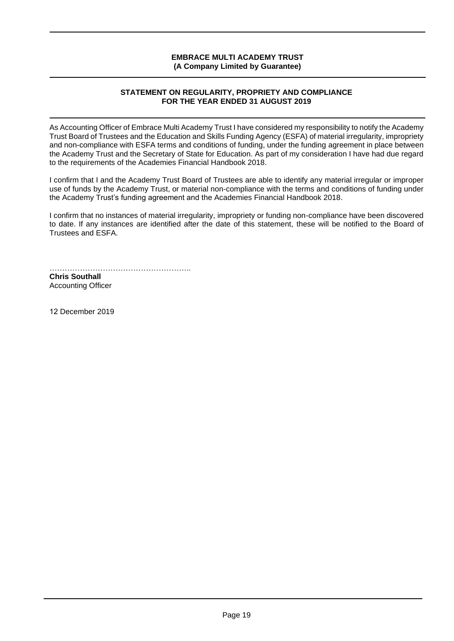# **STATEMENT ON REGULARITY, PROPRIETY AND COMPLIANCE FOR THE YEAR ENDED 31 AUGUST 2019**

As Accounting Officer of Embrace Multi Academy Trust I have considered my responsibility to notify the Academy Trust Board of Trustees and the Education and Skills Funding Agency (ESFA) of material irregularity, impropriety and non-compliance with ESFA terms and conditions of funding, under the funding agreement in place between the Academy Trust and the Secretary of State for Education. As part of my consideration I have had due regard to the requirements of the Academies Financial Handbook 2018.

I confirm that I and the Academy Trust Board of Trustees are able to identify any material irregular or improper use of funds by the Academy Trust, or material non-compliance with the terms and conditions of funding under the Academy Trust's funding agreement and the Academies Financial Handbook 2018.

I confirm that no instances of material irregularity, impropriety or funding non-compliance have been discovered to date. If any instances are identified after the date of this statement, these will be notified to the Board of Trustees and ESFA.

……………………………………………….. **Chris Southall** 

Accounting Officer

12 December 2019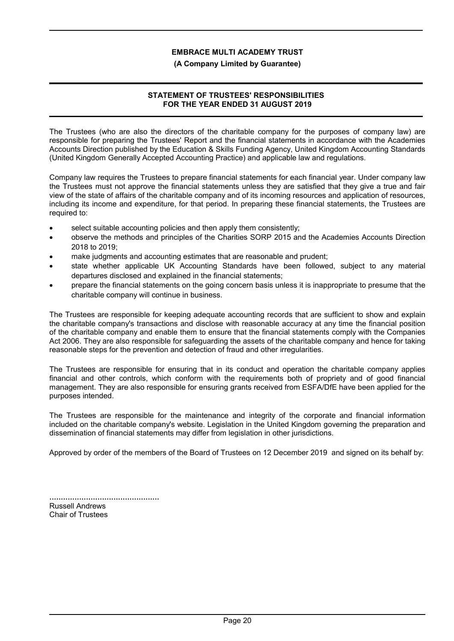## **(A Company Limited by Guarantee)**

# **STATEMENT OF TRUSTEES' RESPONSIBILITIES FOR THE YEAR ENDED 31 AUGUST 2019**

The Trustees (who are also the directors of the charitable company for the purposes of company law) are responsible for preparing the Trustees' Report and the financial statements in accordance with the Academies Accounts Direction published by the Education & Skills Funding Agency, United Kingdom Accounting Standards (United Kingdom Generally Accepted Accounting Practice) and applicable law and regulations.

Company law requires the Trustees to prepare financial statements for each financial year. Under company law the Trustees must not approve the financial statements unless they are satisfied that they give a true and fair view of the state of affairs of the charitable company and of its incoming resources and application of resources, including its income and expenditure, for that period. In preparing these financial statements, the Trustees are required to:

- select suitable accounting policies and then apply them consistently;
- observe the methods and principles of the Charities SORP 2015 and the Academies Accounts Direction 2018 to 2019;
- make judgments and accounting estimates that are reasonable and prudent;
- state whether applicable UK Accounting Standards have been followed, subject to any material departures disclosed and explained in the financial statements;
- prepare the financial statements on the going concern basis unless it is inappropriate to presume that the charitable company will continue in business.

The Trustees are responsible for keeping adequate accounting records that are sufficient to show and explain the charitable company's transactions and disclose with reasonable accuracy at any time the financial position of the charitable company and enable them to ensure that the financial statements comply with the Companies Act 2006. They are also responsible for safeguarding the assets of the charitable company and hence for taking reasonable steps for the prevention and detection of fraud and other irregularities.

The Trustees are responsible for ensuring that in its conduct and operation the charitable company applies financial and other controls, which conform with the requirements both of propriety and of good financial management. They are also responsible for ensuring grants received from ESFA/DfE have been applied for the purposes intended.

The Trustees are responsible for the maintenance and integrity of the corporate and financial information included on the charitable company's website. Legislation in the United Kingdom governing the preparation and dissemination of financial statements may differ from legislation in other jurisdictions.

Approved by order of the members of the Board of Trustees on 12 December 2019 and signed on its behalf by:

| <b>Russell Andrews</b>   |  |
|--------------------------|--|
| <b>Chair of Trustees</b> |  |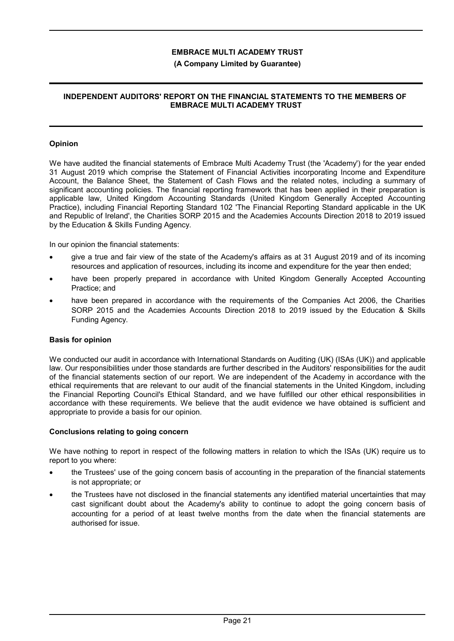# **(A Company Limited by Guarantee)**

# **INDEPENDENT AUDITORS' REPORT ON THE FINANCIAL STATEMENTS TO THE MEMBERS OF EMBRACE MULTI ACADEMY TRUST**

# **Opinion**

We have audited the financial statements of Embrace Multi Academy Trust (the 'Academy') for the year ended 31 August 2019 which comprise the Statement of Financial Activities incorporating Income and Expenditure Account, the Balance Sheet, the Statement of Cash Flows and the related notes, including a summary of significant accounting policies. The financial reporting framework that has been applied in their preparation is applicable law, United Kingdom Accounting Standards (United Kingdom Generally Accepted Accounting Practice), including Financial Reporting Standard 102 'The Financial Reporting Standard applicable in the UK and Republic of Ireland', the Charities SORP 2015 and the Academies Accounts Direction 2018 to 2019 issued by the Education & Skills Funding Agency.

In our opinion the financial statements:

- give a true and fair view of the state of the Academy's affairs as at 31 August 2019 and of its incoming resources and application of resources, including its income and expenditure for the year then ended;
- have been properly prepared in accordance with United Kingdom Generally Accepted Accounting Practice; and
- have been prepared in accordance with the requirements of the Companies Act 2006, the Charities SORP 2015 and the Academies Accounts Direction 2018 to 2019 issued by the Education & Skills Funding Agency.

# **Basis for opinion**

We conducted our audit in accordance with International Standards on Auditing (UK) (ISAs (UK)) and applicable law. Our responsibilities under those standards are further described in the Auditors' responsibilities for the audit of the financial statements section of our report. We are independent of the Academy in accordance with the ethical requirements that are relevant to our audit of the financial statements in the United Kingdom, including the Financial Reporting Council's Ethical Standard, and we have fulfilled our other ethical responsibilities in accordance with these requirements. We believe that the audit evidence we have obtained is sufficient and appropriate to provide a basis for our opinion.

# **Conclusions relating to going concern**

We have nothing to report in respect of the following matters in relation to which the ISAs (UK) require us to report to you where:

- the Trustees' use of the going concern basis of accounting in the preparation of the financial statements is not appropriate; or
- the Trustees have not disclosed in the financial statements any identified material uncertainties that may cast significant doubt about the Academy's ability to continue to adopt the going concern basis of accounting for a period of at least twelve months from the date when the financial statements are authorised for issue.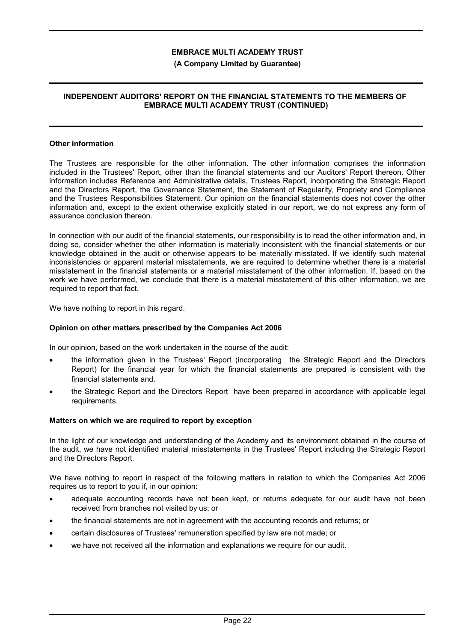## **(A Company Limited by Guarantee)**

# **INDEPENDENT AUDITORS' REPORT ON THE FINANCIAL STATEMENTS TO THE MEMBERS OF EMBRACE MULTI ACADEMY TRUST (CONTINUED)**

#### **Other information**

The Trustees are responsible for the other information. The other information comprises the information included in the Trustees' Report, other than the financial statements and our Auditors' Report thereon. Other information includes Reference and Administrative details, Trustees Report, incorporating the Strategic Report and the Directors Report, the Governance Statement, the Statement of Regularity, Propriety and Compliance and the Trustees Responsibilities Statement. Our opinion on the financial statements does not cover the other information and, except to the extent otherwise explicitly stated in our report, we do not express any form of assurance conclusion thereon.

In connection with our audit of the financial statements, our responsibility is to read the other information and, in doing so, consider whether the other information is materially inconsistent with the financial statements or our knowledge obtained in the audit or otherwise appears to be materially misstated. If we identify such material inconsistencies or apparent material misstatements, we are required to determine whether there is a material misstatement in the financial statements or a material misstatement of the other information. If, based on the work we have performed, we conclude that there is a material misstatement of this other information, we are required to report that fact.

We have nothing to report in this regard.

# **Opinion on other matters prescribed by the Companies Act 2006**

In our opinion, based on the work undertaken in the course of the audit:

- the information given in the Trustees' Report (incorporating the Strategic Report and the Directors Report) for the financial year for which the financial statements are prepared is consistent with the financial statements and.
- the Strategic Report and the Directors Report have been prepared in accordance with applicable legal requirements.

#### **Matters on which we are required to report by exception**

In the light of our knowledge and understanding of the Academy and its environment obtained in the course of the audit, we have not identified material misstatements in the Trustees' Report including the Strategic Report and the Directors Report.

We have nothing to report in respect of the following matters in relation to which the Companies Act 2006 requires us to report to you if, in our opinion:

- adequate accounting records have not been kept, or returns adequate for our audit have not been received from branches not visited by us; or
- the financial statements are not in agreement with the accounting records and returns; or
- certain disclosures of Trustees' remuneration specified by law are not made; or
- we have not received all the information and explanations we require for our audit.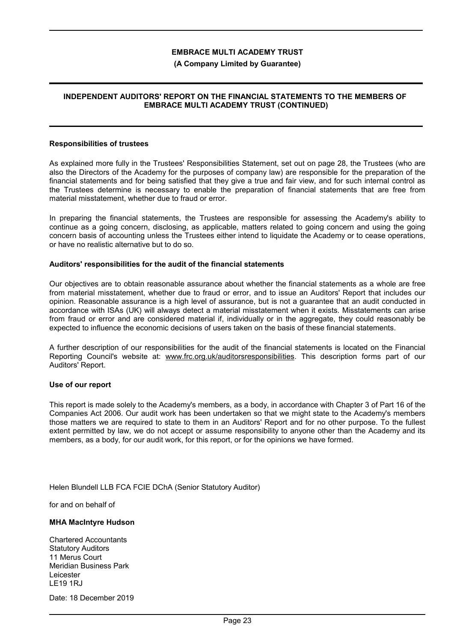#### **(A Company Limited by Guarantee)**

## **INDEPENDENT AUDITORS' REPORT ON THE FINANCIAL STATEMENTS TO THE MEMBERS OF EMBRACE MULTI ACADEMY TRUST (CONTINUED)**

#### **Responsibilities of trustees**

As explained more fully in the Trustees' Responsibilities Statement, set out on page 28, the Trustees (who are also the Directors of the Academy for the purposes of company law) are responsible for the preparation of the financial statements and for being satisfied that they give a true and fair view, and for such internal control as the Trustees determine is necessary to enable the preparation of financial statements that are free from material misstatement, whether due to fraud or error.

In preparing the financial statements, the Trustees are responsible for assessing the Academy's ability to continue as a going concern, disclosing, as applicable, matters related to going concern and using the going concern basis of accounting unless the Trustees either intend to liquidate the Academy or to cease operations, or have no realistic alternative but to do so.

#### **Auditors' responsibilities for the audit of the financial statements**

Our objectives are to obtain reasonable assurance about whether the financial statements as a whole are free from material misstatement, whether due to fraud or error, and to issue an Auditors' Report that includes our opinion. Reasonable assurance is a high level of assurance, but is not a guarantee that an audit conducted in accordance with ISAs (UK) will always detect a material misstatement when it exists. Misstatements can arise from fraud or error and are considered material if, individually or in the aggregate, they could reasonably be expected to influence the economic decisions of users taken on the basis of these financial statements.

A further description of our responsibilities for the audit of the financial statements is located on the Financial Reporting Council's website at: www.frc.org.uk/auditorsresponsibilities. This description forms part of our Auditors' Report.

#### **Use of our report**

This report is made solely to the Academy's members, as a body, in accordance with Chapter 3 of Part 16 of the Companies Act 2006. Our audit work has been undertaken so that we might state to the Academy's members those matters we are required to state to them in an Auditors' Report and for no other purpose. To the fullest extent permitted by law, we do not accept or assume responsibility to anyone other than the Academy and its members, as a body, for our audit work, for this report, or for the opinions we have formed.

Helen Blundell LLB FCA FCIE DChA (Senior Statutory Auditor)

for and on behalf of

#### **MHA MacIntyre Hudson**

Chartered Accountants Statutory Auditors 11 Merus Court Meridian Business Park Leicester LE19 1RJ

Date: 18 December 2019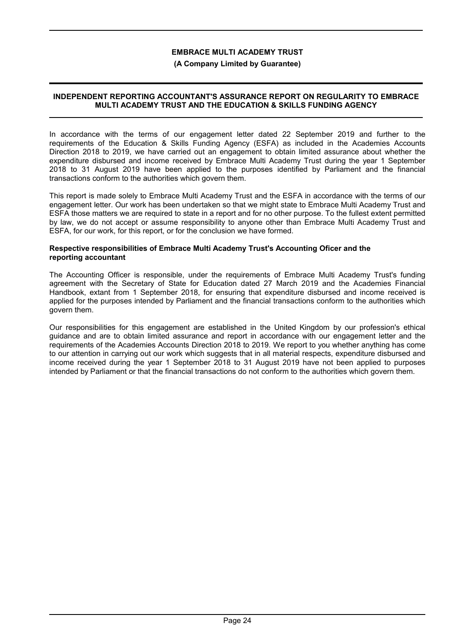## **(A Company Limited by Guarantee)**

# **INDEPENDENT REPORTING ACCOUNTANT'S ASSURANCE REPORT ON REGULARITY TO EMBRACE MULTI ACADEMY TRUST AND THE EDUCATION & SKILLS FUNDING AGENCY**

In accordance with the terms of our engagement letter dated 22 September 2019 and further to the requirements of the Education & Skills Funding Agency (ESFA) as included in the Academies Accounts Direction 2018 to 2019, we have carried out an engagement to obtain limited assurance about whether the expenditure disbursed and income received by Embrace Multi Academy Trust during the year 1 September 2018 to 31 August 2019 have been applied to the purposes identified by Parliament and the financial transactions conform to the authorities which govern them.

This report is made solely to Embrace Multi Academy Trust and the ESFA in accordance with the terms of our engagement letter. Our work has been undertaken so that we might state to Embrace Multi Academy Trust and ESFA those matters we are required to state in a report and for no other purpose. To the fullest extent permitted by law, we do not accept or assume responsibility to anyone other than Embrace Multi Academy Trust and ESFA, for our work, for this report, or for the conclusion we have formed.

#### **Respective responsibilities of Embrace Multi Academy Trust's Accounting Oficer and the reporting accountant**

The Accounting Officer is responsible, under the requirements of Embrace Multi Academy Trust's funding agreement with the Secretary of State for Education dated 27 March 2019 and the Academies Financial Handbook, extant from 1 September 2018, for ensuring that expenditure disbursed and income received is applied for the purposes intended by Parliament and the financial transactions conform to the authorities which govern them.

Our responsibilities for this engagement are established in the United Kingdom by our profession's ethical guidance and are to obtain limited assurance and report in accordance with our engagement letter and the requirements of the Academies Accounts Direction 2018 to 2019. We report to you whether anything has come to our attention in carrying out our work which suggests that in all material respects, expenditure disbursed and income received during the year 1 September 2018 to 31 August 2019 have not been applied to purposes intended by Parliament or that the financial transactions do not conform to the authorities which govern them.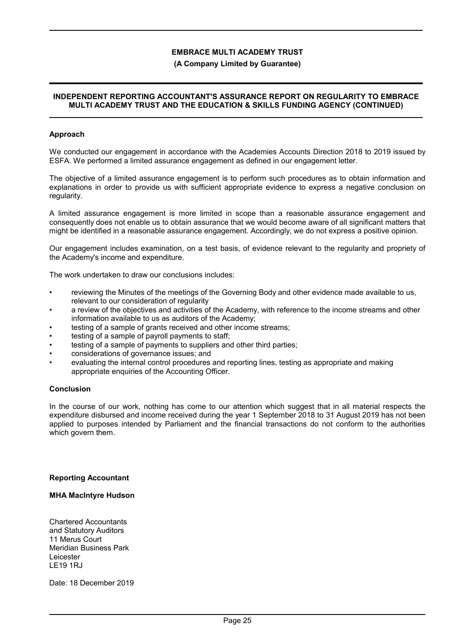#### **(A Company Limited by Guarantee)**

#### **INDEPENDENT REPORTING ACCOUNTANT'S ASSURANCE REPORT ON REGULARITY TO EMBRACE MULTI ACADEMY TRUST AND THE EDUCATION & SKILLS FUNDING AGENCY (CONTINUED)**

#### **Approach**

We conducted our engagement in accordance with the Academies Accounts Direction 2018 to 2019 issued by ESFA. We performed a limited assurance engagement as defined in our engagement letter.

The objective of a limited assurance engagement is to perform such procedures as to obtain information and explanations in order to provide us with sufficient appropriate evidence to express a negative conclusion on regularity.

A limited assurance engagement is more limited in scope than a reasonable assurance engagement and consequently does not enable us to obtain assurance that we would become aware of all significant matters that might be identified in a reasonable assurance engagement. Accordingly, we do not express a positive opinion.

Our engagement includes examination, on a test basis, of evidence relevant to the regularity and propriety of the Academy's income and expenditure.

The work undertaken to draw our conclusions includes:

- reviewing the Minutes of the meetings of the Governing Body and other evidence made available to us, relevant to our consideration of regularity
- a review of the objectives and activities of the Academy, with reference to the income streams and other information available to us as auditors of the Academy;
- testing of a sample of grants received and other income streams;
- testing of a sample of payroll payments to staff;
- testing of a sample of payments to suppliers and other third parties;
- considerations of governance issues; and
- evaluating the internal control procedures and reporting lines, testing as appropriate and making appropriate enquiries of the Accounting Officer.

#### **Conclusion**

In the course of our work, nothing has come to our attention which suggest that in all material respects the expenditure disbursed and income received during the year 1 September 2018 to 31 August 2019 has not been applied to purposes intended by Parliament and the financial transactions do not conform to the authorities which govern them.

#### **Reporting Accountant**

#### **MHA MacIntyre Hudson**

Chartered Accountants and Statutory Auditors 11 Merus Court Meridian Business Park Leicester LE19 1RJ

Date: 18 December 2019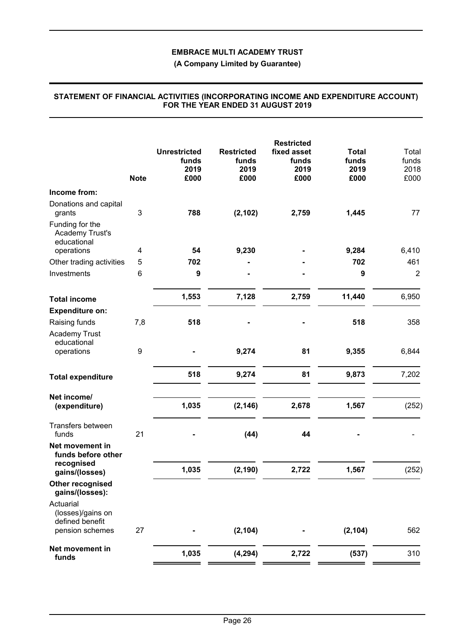**(A Company Limited by Guarantee)**

|                                                          | <b>Note</b> | <b>Unrestricted</b><br>funds<br>2019<br>£000 | <b>Restricted</b><br>funds<br>2019<br>£000 | <b>Restricted</b><br>fixed asset<br>funds<br>2019<br>£000 | <b>Total</b><br>funds<br>2019<br>£000 | Total<br>funds<br>2018<br>£000 |
|----------------------------------------------------------|-------------|----------------------------------------------|--------------------------------------------|-----------------------------------------------------------|---------------------------------------|--------------------------------|
| Income from:                                             |             |                                              |                                            |                                                           |                                       |                                |
| Donations and capital<br>grants                          | 3           | 788                                          | (2, 102)                                   | 2,759                                                     | 1,445                                 | 77                             |
| Funding for the<br><b>Academy Trust's</b><br>educational |             |                                              |                                            |                                                           |                                       |                                |
| operations                                               | 4           | 54                                           | 9,230                                      |                                                           | 9,284                                 | 6,410                          |
| Other trading activities                                 | 5           | 702                                          |                                            |                                                           | 702                                   | 461                            |
| Investments                                              | 6           | 9                                            |                                            |                                                           | 9                                     | $\overline{2}$                 |
| <b>Total income</b>                                      |             | 1,553                                        | 7,128                                      | 2,759                                                     | 11,440                                | 6,950                          |
| <b>Expenditure on:</b>                                   |             |                                              |                                            |                                                           |                                       |                                |
| Raising funds                                            | 7,8         | 518                                          |                                            |                                                           | 518                                   | 358                            |
| <b>Academy Trust</b><br>educational                      |             |                                              |                                            |                                                           |                                       |                                |
| operations                                               | 9           |                                              | 9,274                                      | 81                                                        | 9,355                                 | 6,844                          |
| <b>Total expenditure</b>                                 |             | 518                                          | 9,274                                      | 81                                                        | 9,873                                 | 7,202                          |
| Net income/                                              |             |                                              |                                            |                                                           |                                       |                                |
| (expenditure)                                            |             | 1,035                                        | (2, 146)                                   | 2,678                                                     | 1,567                                 | (252)                          |
| Transfers between<br>funds                               | 21          |                                              | (44)                                       | 44                                                        |                                       |                                |
| Net movement in<br>funds before other                    |             |                                              |                                            |                                                           |                                       |                                |
| recognised<br>gains/(losses)                             |             | 1,035                                        | (2, 190)                                   | 2,722                                                     | 1,567                                 | (252)                          |
| Other recognised<br>gains/(losses):                      |             |                                              |                                            |                                                           |                                       |                                |
| Actuarial<br>(losses)/gains on<br>defined benefit        |             |                                              |                                            |                                                           |                                       |                                |
| pension schemes                                          | 27          |                                              | (2, 104)                                   |                                                           | (2, 104)                              | 562                            |
| Net movement in<br>funds                                 |             | 1,035                                        | (4, 294)                                   | 2,722                                                     | (537)                                 | 310                            |
|                                                          |             |                                              |                                            |                                                           |                                       |                                |

#### **STATEMENT OF FINANCIAL ACTIVITIES (INCORPORATING INCOME AND EXPENDITURE ACCOUNT) FOR THE YEAR ENDED 31 AUGUST 2019**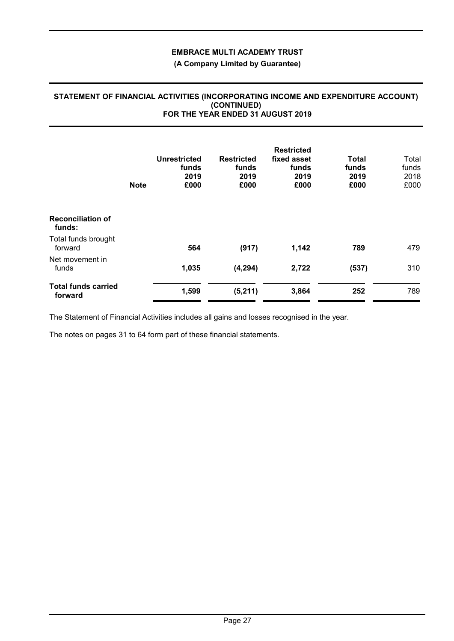# **(A Company Limited by Guarantee)**

#### **Unrestricted funds 2019 Restricted funds 2019 Restricted fixed asset funds 2019 Total funds 2019** Total funds 2018<br>£000 **Note £000 £000 £000 £000** £000 **Reconciliation of funds:** Total funds brought forward **564 (917) 1,142 789** 479 Net movement in funds **1,035 (4,294) 2,722 (537)** 310 **Total funds carried forward 1,599 (5,211) 3,864 <sup>252</sup>** <sup>789</sup>

#### **STATEMENT OF FINANCIAL ACTIVITIES (INCORPORATING INCOME AND EXPENDITURE ACCOUNT) (CONTINUED) FOR THE YEAR ENDED 31 AUGUST 2019**

The Statement of Financial Activities includes all gains and losses recognised in the year.

The notes on pages 31 to 64 form part of these financial statements.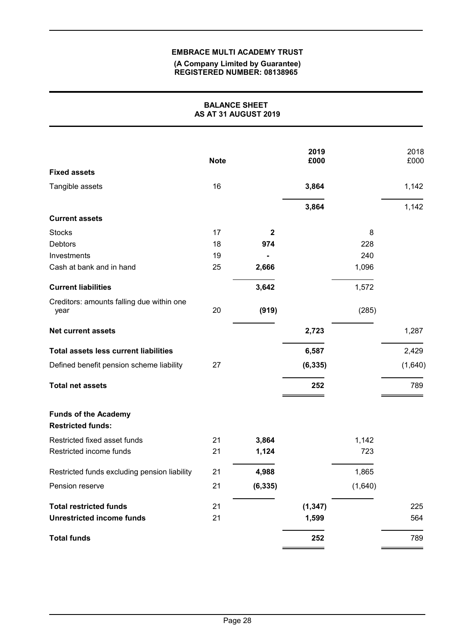#### **(A Company Limited by Guarantee) REGISTERED NUMBER: 08138965**

|                                                         | <b>BALANCE SHEET</b> | AS AT 31 AUGUST 2019 |              |         |              |
|---------------------------------------------------------|----------------------|----------------------|--------------|---------|--------------|
|                                                         | <b>Note</b>          |                      | 2019<br>£000 |         | 2018<br>£000 |
| <b>Fixed assets</b>                                     |                      |                      |              |         |              |
| Tangible assets                                         | 16                   |                      | 3,864        |         | 1,142        |
|                                                         |                      |                      | 3,864        |         | 1,142        |
| <b>Current assets</b>                                   |                      |                      |              |         |              |
| <b>Stocks</b>                                           | 17                   | $\boldsymbol{2}$     |              | 8       |              |
| <b>Debtors</b>                                          | 18                   | 974                  |              | 228     |              |
| Investments                                             | 19                   |                      |              | 240     |              |
| Cash at bank and in hand                                | 25                   | 2,666                |              | 1,096   |              |
| <b>Current liabilities</b>                              |                      | 3,642                |              | 1,572   |              |
| Creditors: amounts falling due within one<br>year       | 20                   | (919)                |              | (285)   |              |
| <b>Net current assets</b>                               |                      |                      | 2,723        |         | 1,287        |
| <b>Total assets less current liabilities</b>            |                      |                      | 6,587        |         | 2,429        |
| Defined benefit pension scheme liability                | 27                   |                      | (6, 335)     |         | (1,640)      |
| <b>Total net assets</b>                                 |                      |                      | 252          |         | 789          |
| <b>Funds of the Academy</b><br><b>Restricted funds:</b> |                      |                      |              |         |              |
| Restricted fixed asset funds                            | 21                   | 3,864                |              | 1,142   |              |
| Restricted income funds                                 | 21                   | 1,124                |              | 723     |              |
| Restricted funds excluding pension liability            | 21                   | 4,988                |              | 1,865   |              |
| Pension reserve                                         | 21                   | (6, 335)             |              | (1,640) |              |
| <b>Total restricted funds</b>                           | 21                   |                      | (1, 347)     |         | 225          |
| <b>Unrestricted income funds</b>                        | 21                   |                      | 1,599        |         | 564          |
| <b>Total funds</b>                                      |                      |                      | 252          |         | 789          |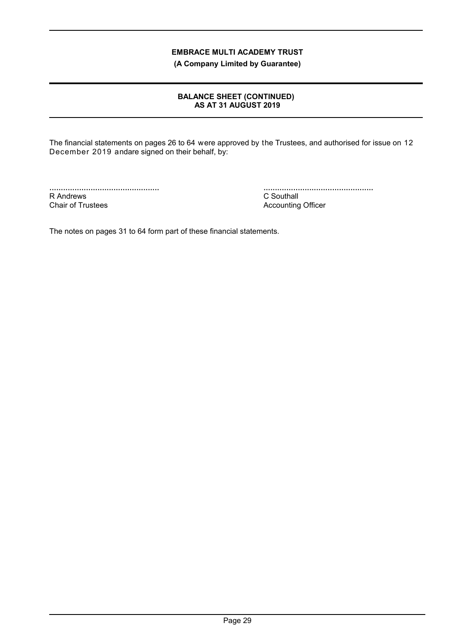**(A Company Limited by Guarantee)**

# **BALANCE SHEET (CONTINUED) AS AT 31 AUGUST 2019**

The financial statements on pages 26 to 64 were approved by the Trustees, and authorised for issue on 12 December 2019 andare signed on their behalf, by:

................................................ R Andrews Chair of Trustees

................................................ C Southall Accounting Officer

The notes on pages 31 to 64 form part of these financial statements.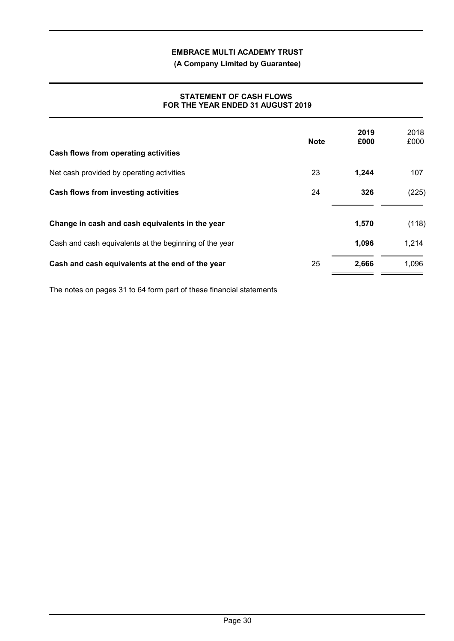**(A Company Limited by Guarantee)**

# **STATEMENT OF CASH FLOWS FOR THE YEAR ENDED 31 AUGUST 2019**

| Cash flows from operating activities                   | <b>Note</b> | 2019<br>£000 | 2018<br>£000 |
|--------------------------------------------------------|-------------|--------------|--------------|
| Net cash provided by operating activities              | 23          | 1,244        | 107          |
| <b>Cash flows from investing activities</b>            | 24          | 326          | (225)        |
| Change in cash and cash equivalents in the year        |             | 1,570        | (118)        |
| Cash and cash equivalents at the beginning of the year |             | 1,096        | 1,214        |
| Cash and cash equivalents at the end of the year       | 25          | 2,666        | 1,096        |

The notes on pages 31 to 64 form part of these financial statements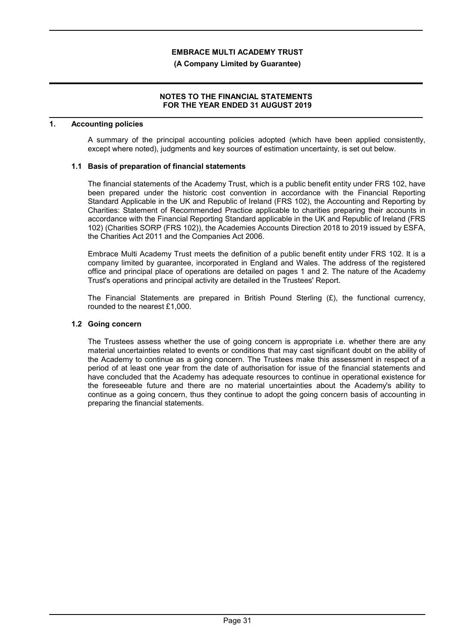#### **(A Company Limited by Guarantee)**

## **NOTES TO THE FINANCIAL STATEMENTS FOR THE YEAR ENDED 31 AUGUST 2019**

#### **1. Accounting policies**

A summary of the principal accounting policies adopted (which have been applied consistently, except where noted), judgments and key sources of estimation uncertainty, is set out below.

# **1.1 Basis of preparation of financial statements**

The financial statements of the Academy Trust, which is a public benefit entity under FRS 102, have been prepared under the historic cost convention in accordance with the Financial Reporting Standard Applicable in the UK and Republic of Ireland (FRS 102), the Accounting and Reporting by Charities: Statement of Recommended Practice applicable to charities preparing their accounts in accordance with the Financial Reporting Standard applicable in the UK and Republic of Ireland (FRS 102) (Charities SORP (FRS 102)), the Academies Accounts Direction 2018 to 2019 issued by ESFA, the Charities Act 2011 and the Companies Act 2006.

Embrace Multi Academy Trust meets the definition of a public benefit entity under FRS 102. It is a company limited by guarantee, incorporated in England and Wales. The address of the registered office and principal place of operations are detailed on pages 1 and 2. The nature of the Academy Trust's operations and principal activity are detailed in the Trustees' Report.

The Financial Statements are prepared in British Pound Sterling  $(E)$ , the functional currency, rounded to the nearest £1,000.

## **1.2 Going concern**

The Trustees assess whether the use of going concern is appropriate i.e. whether there are any material uncertainties related to events or conditions that may cast significant doubt on the ability of the Academy to continue as a going concern. The Trustees make this assessment in respect of a period of at least one year from the date of authorisation for issue of the financial statements and have concluded that the Academy has adequate resources to continue in operational existence for the foreseeable future and there are no material uncertainties about the Academy's ability to continue as a going concern, thus they continue to adopt the going concern basis of accounting in preparing the financial statements.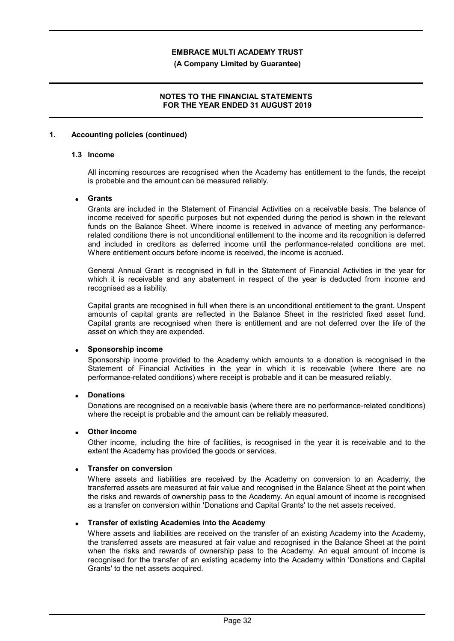#### **(A Company Limited by Guarantee)**

# **NOTES TO THE FINANCIAL STATEMENTS FOR THE YEAR ENDED 31 AUGUST 2019**

#### **1. Accounting policies (continued)**

# **1.3 Income**

All incoming resources are recognised when the Academy has entitlement to the funds, the receipt is probable and the amount can be measured reliably.

#### **Grants**

Grants are included in the Statement of Financial Activities on a receivable basis. The balance of income received for specific purposes but not expended during the period is shown in the relevant funds on the Balance Sheet. Where income is received in advance of meeting any performancerelated conditions there is not unconditional entitlement to the income and its recognition is deferred and included in creditors as deferred income until the performance-related conditions are met. Where entitlement occurs before income is received, the income is accrued.

General Annual Grant is recognised in full in the Statement of Financial Activities in the year for which it is receivable and any abatement in respect of the year is deducted from income and recognised as a liability.

Capital grants are recognised in full when there is an unconditional entitlement to the grant. Unspent amounts of capital grants are reflected in the Balance Sheet in the restricted fixed asset fund. Capital grants are recognised when there is entitlement and are not deferred over the life of the asset on which they are expended.

#### **Sponsorship income**

Sponsorship income provided to the Academy which amounts to a donation is recognised in the Statement of Financial Activities in the year in which it is receivable (where there are no performance-related conditions) where receipt is probable and it can be measured reliably.

#### **Donations**

Donations are recognised on a receivable basis (where there are no performance-related conditions) where the receipt is probable and the amount can be reliably measured.

#### **Other income**

Other income, including the hire of facilities, is recognised in the year it is receivable and to the extent the Academy has provided the goods or services.

#### **Transfer on conversion**

Where assets and liabilities are received by the Academy on conversion to an Academy, the transferred assets are measured at fair value and recognised in the Balance Sheet at the point when the risks and rewards of ownership pass to the Academy. An equal amount of income is recognised as a transfer on conversion within 'Donations and Capital Grants' to the net assets received.

#### **Transfer of existing Academies into the Academy**

Where assets and liabilities are received on the transfer of an existing Academy into the Academy, the transferred assets are measured at fair value and recognised in the Balance Sheet at the point when the risks and rewards of ownership pass to the Academy. An equal amount of income is recognised for the transfer of an existing academy into the Academy within 'Donations and Capital Grants' to the net assets acquired.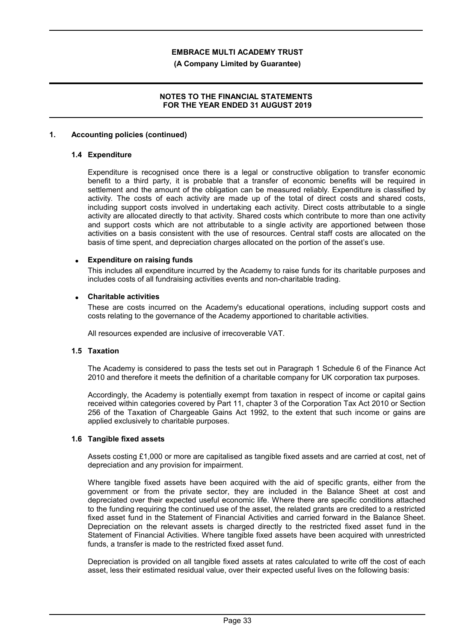#### **(A Company Limited by Guarantee)**

## **NOTES TO THE FINANCIAL STATEMENTS FOR THE YEAR ENDED 31 AUGUST 2019**

#### **1. Accounting policies (continued)**

#### **1.4 Expenditure**

Expenditure is recognised once there is a legal or constructive obligation to transfer economic benefit to a third party, it is probable that a transfer of economic benefits will be required in settlement and the amount of the obligation can be measured reliably. Expenditure is classified by activity. The costs of each activity are made up of the total of direct costs and shared costs, including support costs involved in undertaking each activity. Direct costs attributable to a single activity are allocated directly to that activity. Shared costs which contribute to more than one activity and support costs which are not attributable to a single activity are apportioned between those activities on a basis consistent with the use of resources. Central staff costs are allocated on the basis of time spent, and depreciation charges allocated on the portion of the asset's use.

#### **Expenditure on raising funds**

This includes all expenditure incurred by the Academy to raise funds for its charitable purposes and includes costs of all fundraising activities events and non-charitable trading.

#### **Charitable activities**

These are costs incurred on the Academy's educational operations, including support costs and costs relating to the governance of the Academy apportioned to charitable activities.

All resources expended are inclusive of irrecoverable VAT.

#### **1.5 Taxation**

The Academy is considered to pass the tests set out in Paragraph 1 Schedule 6 of the Finance Act 2010 and therefore it meets the definition of a charitable company for UK corporation tax purposes.

Accordingly, the Academy is potentially exempt from taxation in respect of income or capital gains received within categories covered by Part 11, chapter 3 of the Corporation Tax Act 2010 or Section 256 of the Taxation of Chargeable Gains Act 1992, to the extent that such income or gains are applied exclusively to charitable purposes.

#### **1.6 Tangible fixed assets**

Assets costing £1,000 or more are capitalised as tangible fixed assets and are carried at cost, net of depreciation and any provision for impairment.

Where tangible fixed assets have been acquired with the aid of specific grants, either from the government or from the private sector, they are included in the Balance Sheet at cost and depreciated over their expected useful economic life. Where there are specific conditions attached to the funding requiring the continued use of the asset, the related grants are credited to a restricted fixed asset fund in the Statement of Financial Activities and carried forward in the Balance Sheet. Depreciation on the relevant assets is charged directly to the restricted fixed asset fund in the Statement of Financial Activities. Where tangible fixed assets have been acquired with unrestricted funds, a transfer is made to the restricted fixed asset fund.

Depreciation is provided on all tangible fixed assets at rates calculated to write off the cost of each asset, less their estimated residual value, over their expected useful lives on the following basis: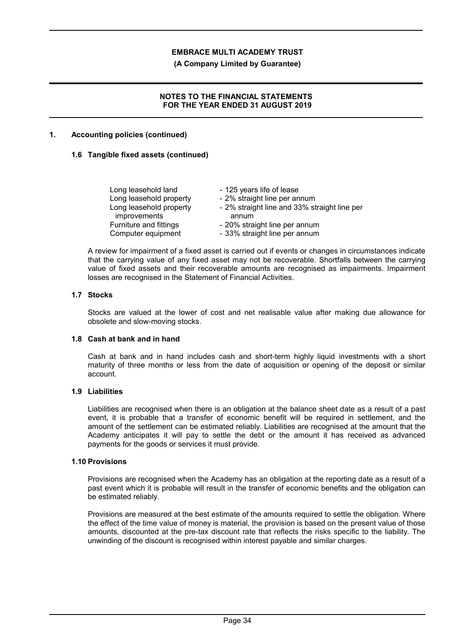**(A Company Limited by Guarantee)**

# **NOTES TO THE FINANCIAL STATEMENTS FOR THE YEAR ENDED 31 AUGUST 2019**

## **1. Accounting policies (continued)**

## **1.6 Tangible fixed assets (continued)**

| Long leasehold land     | - 125 years life of lease                    |
|-------------------------|----------------------------------------------|
| Long leasehold property | - 2% straight line per annum                 |
| Long leasehold property | - 2% straight line and 33% straight line per |
| improvements            | annum                                        |
| Furniture and fittings  | - 20% straight line per annum                |
| Computer equipment      | - 33% straight line per annum                |

A review for impairment of a fixed asset is carried out if events or changes in circumstances indicate that the carrying value of any fixed asset may not be recoverable. Shortfalls between the carrying value of fixed assets and their recoverable amounts are recognised as impairments. Impairment losses are recognised in the Statement of Financial Activities.

#### **1.7 Stocks**

Stocks are valued at the lower of cost and net realisable value after making due allowance for obsolete and slow-moving stocks.

#### **1.8 Cash at bank and in hand**

Cash at bank and in hand includes cash and short-term highly liquid investments with a short maturity of three months or less from the date of acquisition or opening of the deposit or similar account.

# **1.9 Liabilities**

Liabilities are recognised when there is an obligation at the balance sheet date as a result of a past event, it is probable that a transfer of economic benefit will be required in settlement, and the amount of the settlement can be estimated reliably. Liabilities are recognised at the amount that the Academy anticipates it will pay to settle the debt or the amount it has received as advanced payments for the goods or services it must provide.

#### **1.10 Provisions**

Provisions are recognised when the Academy has an obligation at the reporting date as a result of a past event which it is probable will result in the transfer of economic benefits and the obligation can be estimated reliably.

Provisions are measured at the best estimate of the amounts required to settle the obligation. Where the effect of the time value of money is material, the provision is based on the present value of those amounts, discounted at the pre-tax discount rate that reflects the risks specific to the liability. The unwinding of the discount is recognised within interest payable and similar charges.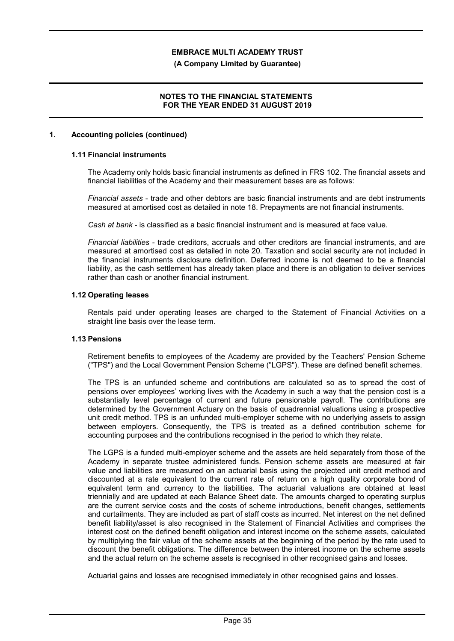#### **(A Company Limited by Guarantee)**

# **NOTES TO THE FINANCIAL STATEMENTS FOR THE YEAR ENDED 31 AUGUST 2019**

#### **1. Accounting policies (continued)**

# **1.11 Financial instruments**

The Academy only holds basic financial instruments as defined in FRS 102. The financial assets and financial liabilities of the Academy and their measurement bases are as follows:

*Financial assets* - trade and other debtors are basic financial instruments and are debt instruments measured at amortised cost as detailed in note 18. Prepayments are not financial instruments.

*Cash at bank* - is classified as a basic financial instrument and is measured at face value.

*Financial liabilities* - trade creditors, accruals and other creditors are financial instruments, and are measured at amortised cost as detailed in note 20. Taxation and social security are not included in the financial instruments disclosure definition. Deferred income is not deemed to be a financial liability, as the cash settlement has already taken place and there is an obligation to deliver services rather than cash or another financial instrument.

#### **1.12 Operating leases**

Rentals paid under operating leases are charged to the Statement of Financial Activities on a straight line basis over the lease term.

# **1.13 Pensions**

Retirement benefits to employees of the Academy are provided by the Teachers' Pension Scheme ("TPS") and the Local Government Pension Scheme ("LGPS"). These are defined benefit schemes.

The TPS is an unfunded scheme and contributions are calculated so as to spread the cost of pensions over employees' working lives with the Academy in such a way that the pension cost is a substantially level percentage of current and future pensionable payroll. The contributions are determined by the Government Actuary on the basis of quadrennial valuations using a prospective unit credit method. TPS is an unfunded multi-employer scheme with no underlying assets to assign between employers. Consequently, the TPS is treated as a defined contribution scheme for accounting purposes and the contributions recognised in the period to which they relate.

The LGPS is a funded multi-employer scheme and the assets are held separately from those of the Academy in separate trustee administered funds. Pension scheme assets are measured at fair value and liabilities are measured on an actuarial basis using the projected unit credit method and discounted at a rate equivalent to the current rate of return on a high quality corporate bond of equivalent term and currency to the liabilities. The actuarial valuations are obtained at least triennially and are updated at each Balance Sheet date. The amounts charged to operating surplus are the current service costs and the costs of scheme introductions, benefit changes, settlements and curtailments. They are included as part of staff costs as incurred. Net interest on the net defined benefit liability/asset is also recognised in the Statement of Financial Activities and comprises the interest cost on the defined benefit obligation and interest income on the scheme assets, calculated by multiplying the fair value of the scheme assets at the beginning of the period by the rate used to discount the benefit obligations. The difference between the interest income on the scheme assets and the actual return on the scheme assets is recognised in other recognised gains and losses.

Actuarial gains and losses are recognised immediately in other recognised gains and losses.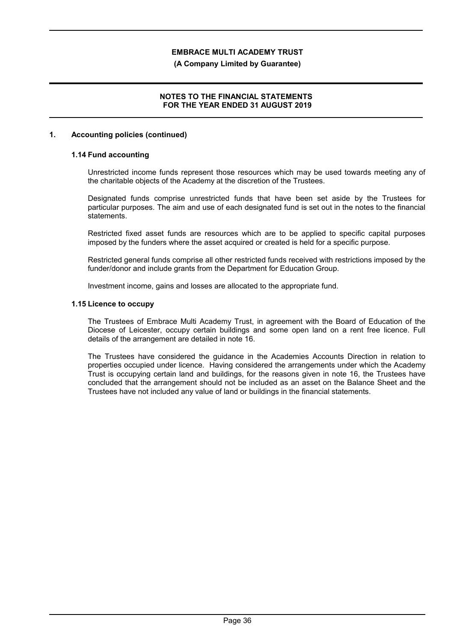## **(A Company Limited by Guarantee)**

# **NOTES TO THE FINANCIAL STATEMENTS FOR THE YEAR ENDED 31 AUGUST 2019**

## **1. Accounting policies (continued)**

# **1.14 Fund accounting**

Unrestricted income funds represent those resources which may be used towards meeting any of the charitable objects of the Academy at the discretion of the Trustees.

Designated funds comprise unrestricted funds that have been set aside by the Trustees for particular purposes. The aim and use of each designated fund is set out in the notes to the financial statements.

Restricted fixed asset funds are resources which are to be applied to specific capital purposes imposed by the funders where the asset acquired or created is held for a specific purpose.

Restricted general funds comprise all other restricted funds received with restrictions imposed by the funder/donor and include grants from the Department for Education Group.

Investment income, gains and losses are allocated to the appropriate fund.

#### **1.15 Licence to occupy**

The Trustees of Embrace Multi Academy Trust, in agreement with the Board of Education of the Diocese of Leicester, occupy certain buildings and some open land on a rent free licence. Full details of the arrangement are detailed in note 16.

The Trustees have considered the guidance in the Academies Accounts Direction in relation to properties occupied under licence. Having considered the arrangements under which the Academy Trust is occupying certain land and buildings, for the reasons given in note 16, the Trustees have concluded that the arrangement should not be included as an asset on the Balance Sheet and the Trustees have not included any value of land or buildings in the financial statements.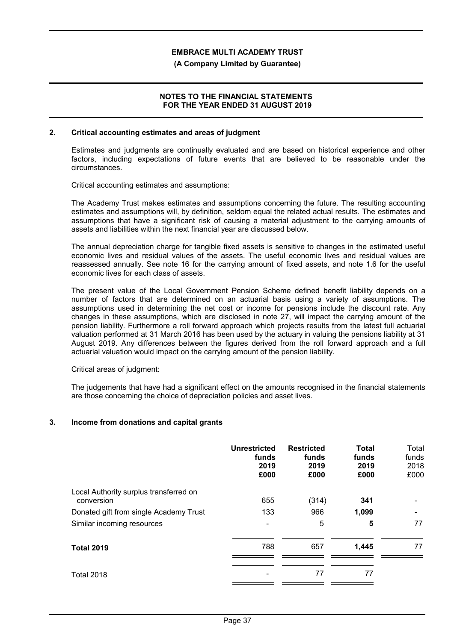#### **(A Company Limited by Guarantee)**

## **NOTES TO THE FINANCIAL STATEMENTS FOR THE YEAR ENDED 31 AUGUST 2019**

#### **2. Critical accounting estimates and areas of judgment**

Estimates and judgments are continually evaluated and are based on historical experience and other factors, including expectations of future events that are believed to be reasonable under the circumstances.

Critical accounting estimates and assumptions:

The Academy Trust makes estimates and assumptions concerning the future. The resulting accounting estimates and assumptions will, by definition, seldom equal the related actual results. The estimates and assumptions that have a significant risk of causing a material adjustment to the carrying amounts of assets and liabilities within the next financial year are discussed below.

The annual depreciation charge for tangible fixed assets is sensitive to changes in the estimated useful economic lives and residual values of the assets. The useful economic lives and residual values are reassessed annually. See note 16 for the carrying amount of fixed assets, and note 1.6 for the useful economic lives for each class of assets.

The present value of the Local Government Pension Scheme defined benefit liability depends on a number of factors that are determined on an actuarial basis using a variety of assumptions. The assumptions used in determining the net cost or income for pensions include the discount rate. Any changes in these assumptions, which are disclosed in note 27, will impact the carrying amount of the pension liability. Furthermore a roll forward approach which projects results from the latest full actuarial valuation performed at 31 March 2016 has been used by the actuary in valuing the pensions liability at 31 August 2019. Any differences between the figures derived from the roll forward approach and a full actuarial valuation would impact on the carrying amount of the pension liability.

Critical areas of judgment:

The judgements that have had a significant effect on the amounts recognised in the financial statements are those concerning the choice of depreciation policies and asset lives.

# **3. Income from donations and capital grants**

|                                                      | <b>Unrestricted</b><br>funds<br>2019<br>£000 | <b>Restricted</b><br>funds<br>2019<br>£000 | Total<br>funds<br>2019<br>£000 | Total<br>funds<br>2018<br>£000 |
|------------------------------------------------------|----------------------------------------------|--------------------------------------------|--------------------------------|--------------------------------|
| Local Authority surplus transferred on<br>conversion | 655                                          | (314)                                      | 341                            |                                |
| Donated gift from single Academy Trust               | 133                                          | 966                                        | 1,099                          |                                |
| Similar incoming resources                           |                                              | 5                                          | 5                              | 77                             |
| <b>Total 2019</b>                                    | 788                                          | 657                                        | 1,445                          | 77                             |
| <b>Total 2018</b>                                    |                                              | 77                                         | 77                             |                                |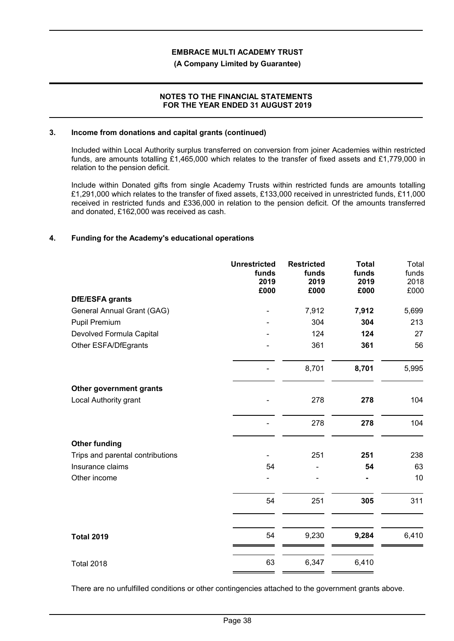#### **(A Company Limited by Guarantee)**

## **NOTES TO THE FINANCIAL STATEMENTS FOR THE YEAR ENDED 31 AUGUST 2019**

#### **3. Income from donations and capital grants (continued)**

Included within Local Authority surplus transferred on conversion from joiner Academies within restricted funds, are amounts totalling £1,465,000 which relates to the transfer of fixed assets and £1,779,000 in relation to the pension deficit.

Include within Donated gifts from single Academy Trusts within restricted funds are amounts totalling £1,291,000 which relates to the transfer of fixed assets, £133,000 received in unrestricted funds, £11,000 received in restricted funds and £336,000 in relation to the pension deficit. Of the amounts transferred and donated, £162,000 was received as cash.

# **4. Funding for the Academy's educational operations**

|                                  | <b>Unrestricted</b><br>funds | <b>Restricted</b><br>funds | <b>Total</b><br>funds | Total<br>funds |
|----------------------------------|------------------------------|----------------------------|-----------------------|----------------|
|                                  | 2019<br>£000                 | 2019<br>£000               | 2019<br>£000          | 2018<br>£000   |
| <b>DfE/ESFA grants</b>           |                              |                            |                       |                |
| General Annual Grant (GAG)       |                              | 7,912                      | 7,912                 | 5,699          |
| Pupil Premium                    |                              | 304                        | 304                   | 213            |
| Devolved Formula Capital         |                              | 124                        | 124                   | 27             |
| Other ESFA/DfEgrants             |                              | 361                        | 361                   | 56             |
|                                  |                              | 8,701                      | 8,701                 | 5,995          |
| Other government grants          |                              |                            |                       |                |
| Local Authority grant            |                              | 278                        | 278                   | 104            |
|                                  |                              | 278                        | 278                   | 104            |
| <b>Other funding</b>             |                              |                            |                       |                |
| Trips and parental contributions |                              | 251                        | 251                   | 238            |
| Insurance claims                 | 54                           |                            | 54                    | 63             |
| Other income                     |                              |                            |                       | 10             |
|                                  | 54                           | 251                        | 305                   | 311            |
| <b>Total 2019</b>                | 54                           | 9,230                      | 9,284                 | 6,410          |
| <b>Total 2018</b>                | 63                           | 6,347                      | 6,410                 |                |

There are no unfulfilled conditions or other contingencies attached to the government grants above.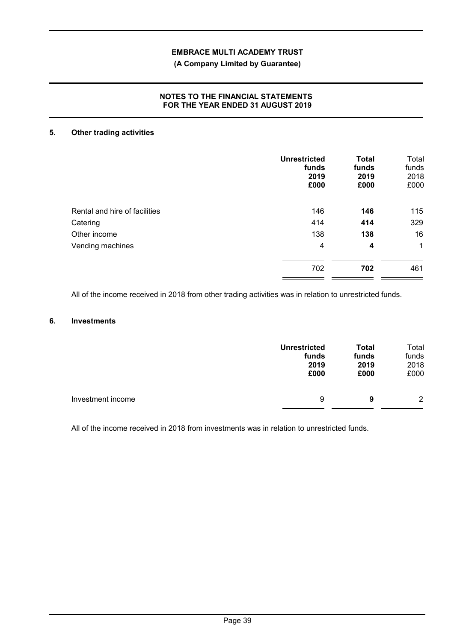# **(A Company Limited by Guarantee)**

# **NOTES TO THE FINANCIAL STATEMENTS FOR THE YEAR ENDED 31 AUGUST 2019**

# **5. Other trading activities**

|                               | <b>Unrestricted</b><br>funds<br>2019<br>£000 | <b>Total</b><br>funds<br>2019<br>£000 | Total<br>funds<br>2018<br>£000 |
|-------------------------------|----------------------------------------------|---------------------------------------|--------------------------------|
| Rental and hire of facilities | 146                                          | 146                                   | 115                            |
| Catering                      | 414                                          | 414                                   | 329                            |
| Other income                  | 138                                          | 138                                   | 16                             |
| Vending machines              | 4                                            | 4                                     | $\mathbf{1}$                   |
|                               | 702                                          | 702                                   | 461                            |

All of the income received in 2018 from other trading activities was in relation to unrestricted funds.

# **6. Investments**

|                   | <b>Unrestricted</b> | <b>Total</b> | Total          |
|-------------------|---------------------|--------------|----------------|
|                   | funds               | funds        | funds          |
|                   | 2019                | 2019         | 2018           |
|                   | £000                | £000         | £000           |
| Investment income | 9                   | 9            | $\overline{2}$ |

All of the income received in 2018 from investments was in relation to unrestricted funds.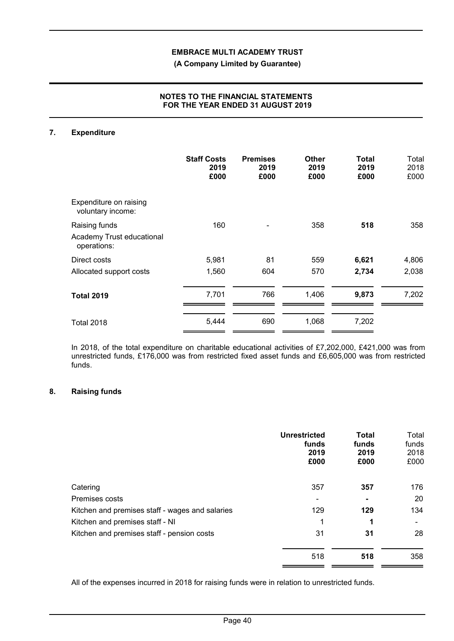**(A Company Limited by Guarantee)**

# **NOTES TO THE FINANCIAL STATEMENTS FOR THE YEAR ENDED 31 AUGUST 2019**

# **7. Expenditure**

|                                                           | <b>Staff Costs</b><br>2019<br>£000 | <b>Premises</b><br>2019<br>£000 | Other<br>2019<br>£000 | Total<br>2019<br>£000 | Total<br>2018<br>£000 |
|-----------------------------------------------------------|------------------------------------|---------------------------------|-----------------------|-----------------------|-----------------------|
| Expenditure on raising<br>voluntary income:               |                                    |                                 |                       |                       |                       |
| Raising funds<br>Academy Trust educational<br>operations: | 160                                |                                 | 358                   | 518                   | 358                   |
| Direct costs                                              | 5,981                              | 81                              | 559                   | 6,621                 | 4,806                 |
| Allocated support costs                                   | 1,560                              | 604                             | 570                   | 2,734                 | 2,038                 |
| <b>Total 2019</b>                                         | 7,701                              | 766                             | 1,406                 | 9,873                 | 7,202                 |
| Total 2018                                                | 5,444                              | 690                             | 1,068                 | 7,202                 |                       |

In 2018, of the total expenditure on charitable educational activities of £7,202,000, £421,000 was from unrestricted funds, £176,000 was from restricted fixed asset funds and £6,605,000 was from restricted funds.

# **8. Raising funds**

|                                                 | <b>Unrestricted</b><br>funds<br>2019<br>£000 | <b>Total</b><br>funds<br>2019<br>£000 | Total<br>funds<br>2018<br>£000 |
|-------------------------------------------------|----------------------------------------------|---------------------------------------|--------------------------------|
| Catering                                        | 357                                          | 357                                   | 176                            |
| Premises costs                                  |                                              | $\blacksquare$                        | 20                             |
| Kitchen and premises staff - wages and salaries | 129                                          | 129                                   | 134                            |
| Kitchen and premises staff - NI                 | 1                                            | 1                                     |                                |
| Kitchen and premises staff - pension costs      | 31                                           | 31                                    | 28                             |
|                                                 | 518                                          | 518                                   | 358                            |

All of the expenses incurred in 2018 for raising funds were in relation to unrestricted funds.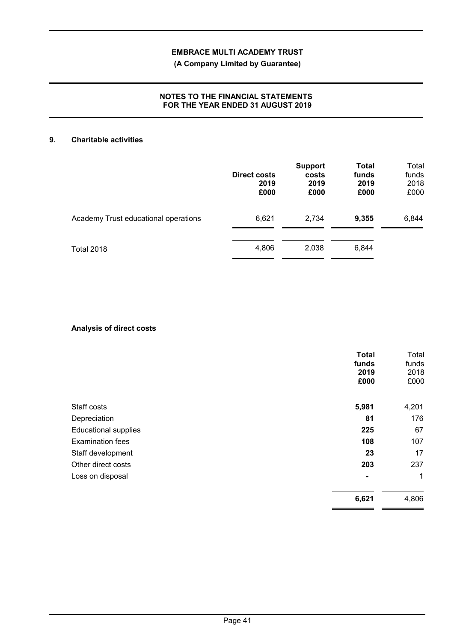# **(A Company Limited by Guarantee)**

# **NOTES TO THE FINANCIAL STATEMENTS FOR THE YEAR ENDED 31 AUGUST 2019**

# **9. Charitable activities**

|                                      | <b>Direct costs</b><br>2019<br>£000 | <b>Support</b><br>costs<br>2019<br>£000 | <b>Total</b><br>funds<br>2019<br>£000 | Total<br>funds<br>2018<br>£000 |
|--------------------------------------|-------------------------------------|-----------------------------------------|---------------------------------------|--------------------------------|
| Academy Trust educational operations | 6,621                               | 2,734                                   | 9,355                                 | 6,844                          |
| <b>Total 2018</b>                    | 4,806                               | 2,038                                   | 6,844                                 |                                |

# **Analysis of direct costs**

|                             | <b>Total</b><br>funds<br>2019<br>£000 | Total<br>funds<br>2018<br>£000 |
|-----------------------------|---------------------------------------|--------------------------------|
| Staff costs                 | 5,981                                 | 4,201                          |
| Depreciation                | 81                                    | 176                            |
| <b>Educational supplies</b> | 225                                   | 67                             |
| <b>Examination fees</b>     | 108                                   | 107                            |
| Staff development           | 23                                    | 17                             |
| Other direct costs          | 203                                   | 237                            |
| Loss on disposal            | $\blacksquare$                        | 1                              |
|                             | 6,621                                 | 4,806                          |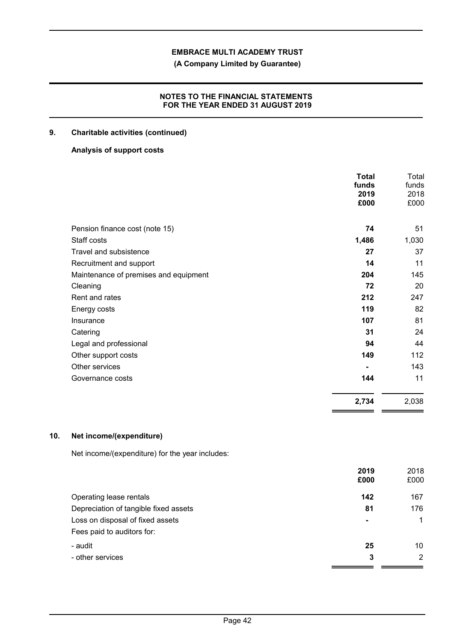**(A Company Limited by Guarantee)**

# **NOTES TO THE FINANCIAL STATEMENTS FOR THE YEAR ENDED 31 AUGUST 2019**

# **9. Charitable activities (continued)**

# **Analysis of support costs**

|                                       | <b>Total</b><br>funds<br>2019<br>£000 | Total<br>funds<br>2018<br>£000 |
|---------------------------------------|---------------------------------------|--------------------------------|
| Pension finance cost (note 15)        | 74                                    | 51                             |
| Staff costs                           | 1,486                                 | 1,030                          |
| Travel and subsistence                | 27                                    | 37                             |
| Recruitment and support               | 14                                    | 11                             |
| Maintenance of premises and equipment | 204                                   | 145                            |
| Cleaning                              | 72                                    | 20                             |
| Rent and rates                        | 212                                   | 247                            |
| Energy costs                          | 119                                   | 82                             |
| Insurance                             | 107                                   | 81                             |
| Catering                              | 31                                    | 24                             |
| Legal and professional                | 94                                    | 44                             |
| Other support costs                   | 149                                   | 112                            |
| Other services                        |                                       | 143                            |
| Governance costs                      | 144                                   | 11                             |
|                                       | 2,734                                 | 2,038                          |

# **10. Net income/(expenditure)**

Net income/(expenditure) for the year includes:

|                                       | 2019<br>£000 | 2018<br>£000   |
|---------------------------------------|--------------|----------------|
| Operating lease rentals               | 142          | 167            |
| Depreciation of tangible fixed assets | 81           | 176            |
| Loss on disposal of fixed assets      | ٠            |                |
| Fees paid to auditors for:            |              |                |
| - audit                               | 25           | 10             |
| - other services                      | 3            | $\overline{2}$ |
|                                       |              |                |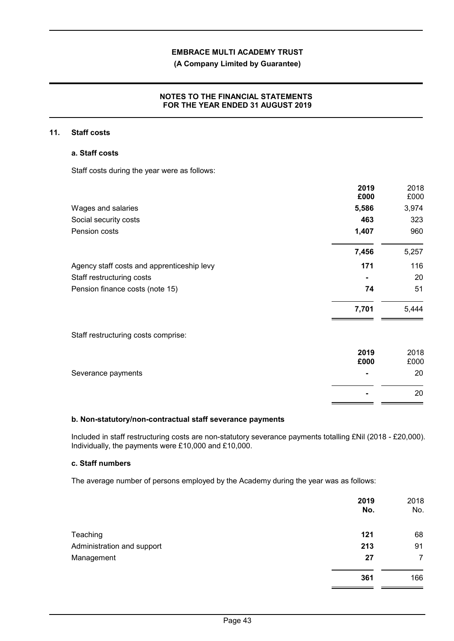# **(A Company Limited by Guarantee)**

# **NOTES TO THE FINANCIAL STATEMENTS FOR THE YEAR ENDED 31 AUGUST 2019**

# **11. Staff costs**

# **a. Staff costs**

Staff costs during the year were as follows:

|                                            | 2019<br>£000 | 2018<br>£000 |
|--------------------------------------------|--------------|--------------|
| Wages and salaries                         | 5,586        | 3,974        |
| Social security costs                      | 463          | 323          |
| Pension costs                              | 1,407        | 960          |
|                                            | 7,456        | 5,257        |
| Agency staff costs and apprenticeship levy | 171          | 116          |
| Staff restructuring costs                  |              | 20           |
| Pension finance costs (note 15)            | 74           | 51           |
|                                            | 7,701        | 5,444        |
| Staff restructuring costs comprise:        |              |              |
|                                            | 2019<br>£000 | 2018<br>£000 |
| Severance payments                         |              | 20           |
|                                            |              | 20           |

# **b. Non-statutory/non-contractual staff severance payments**

Included in staff restructuring costs are non-statutory severance payments totalling £Nil (2018 - £20,000). Individually, the payments were £10,000 and £10,000.

# **c. Staff numbers**

The average number of persons employed by the Academy during the year was as follows:

|                            | 2019<br>No. | 2018<br>No.    |
|----------------------------|-------------|----------------|
| Teaching                   | 121         | 68             |
| Administration and support | 213         | 91             |
| Management                 | 27          | $\overline{7}$ |
|                            | 361         | 166            |
|                            |             |                |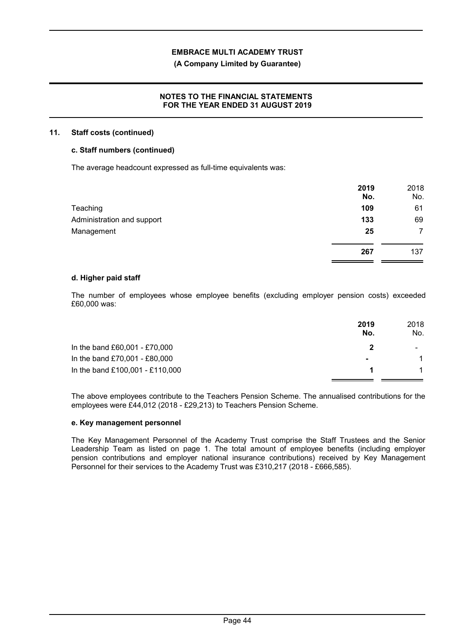# **(A Company Limited by Guarantee)**

# **NOTES TO THE FINANCIAL STATEMENTS FOR THE YEAR ENDED 31 AUGUST 2019**

## **11. Staff costs (continued)**

# **c. Staff numbers (continued)**

The average headcount expressed as full-time equivalents was:

|                            | 2019<br>No. | 2018<br>No. |
|----------------------------|-------------|-------------|
| Teaching                   | 109         | 61          |
| Administration and support | 133         | 69          |
| Management                 | 25          | 7           |
|                            | 267         | 137         |

#### **d. Higher paid staff**

The number of employees whose employee benefits (excluding employer pension costs) exceeded £60,000 was:

|                                 | 2019<br>No.    | 2018<br>No.    |
|---------------------------------|----------------|----------------|
| In the band £60,001 - £70,000   |                | $\blacksquare$ |
| In the band £70,001 - £80,000   | $\blacksquare$ |                |
| In the band £100,001 - £110,000 |                |                |

The above employees contribute to the Teachers Pension Scheme. The annualised contributions for the employees were £44,012 (2018 - £29,213) to Teachers Pension Scheme.

#### **e. Key management personnel**

The Key Management Personnel of the Academy Trust comprise the Staff Trustees and the Senior Leadership Team as listed on page 1. The total amount of employee benefits (including employer pension contributions and employer national insurance contributions) received by Key Management Personnel for their services to the Academy Trust was £310,217 (2018 - £666,585).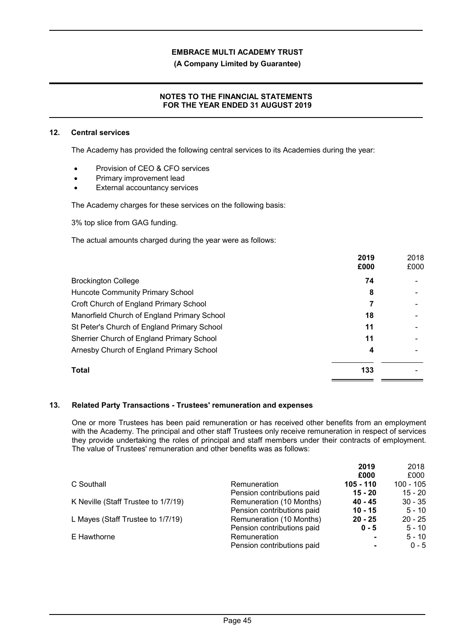**(A Company Limited by Guarantee)**

# **NOTES TO THE FINANCIAL STATEMENTS FOR THE YEAR ENDED 31 AUGUST 2019**

#### **12. Central services**

The Academy has provided the following central services to its Academies during the year:

- Provision of CEO & CFO services
- Primary improvement lead
- External accountancy services

The Academy charges for these services on the following basis:

3% top slice from GAG funding.

The actual amounts charged during the year were as follows:

|                                             | 2019<br>£000 | 2018<br>£000 |
|---------------------------------------------|--------------|--------------|
| <b>Brockington College</b>                  | 74           |              |
| Huncote Community Primary School            | 8            |              |
| Croft Church of England Primary School      |              |              |
| Manorfield Church of England Primary School | 18           |              |
| St Peter's Church of England Primary School | 11           |              |
| Sherrier Church of England Primary School   | 11           |              |
| Arnesby Church of England Primary School    | 4            |              |
| <b>Total</b>                                | 133          |              |

# **13. Related Party Transactions - Trustees' remuneration and expenses**

One or more Trustees has been paid remuneration or has received other benefits from an employment with the Academy. The principal and other staff Trustees only receive remuneration in respect of services they provide undertaking the roles of principal and staff members under their contracts of employment. The value of Trustees' remuneration and other benefits was as follows:

|                                     |                            | 2019        | 2018      |
|-------------------------------------|----------------------------|-------------|-----------|
|                                     |                            | £000        | £000      |
| C Southall                          | Remuneration               | $105 - 110$ | 100 - 105 |
|                                     | Pension contributions paid | $15 - 20$   | $15 - 20$ |
| K Neville (Staff Trustee to 1/7/19) | Remuneration (10 Months)   | 40 - 45     | $30 - 35$ |
|                                     | Pension contributions paid | $10 - 15$   | $5 - 10$  |
| L Mayes (Staff Trustee to 1/7/19)   | Remuneration (10 Months)   | $20 - 25$   | $20 - 25$ |
|                                     | Pension contributions paid | $0 - 5$     | $5 - 10$  |
| E Hawthorne                         | Remuneration               |             | $5 - 10$  |
|                                     | Pension contributions paid |             | $0 - 5$   |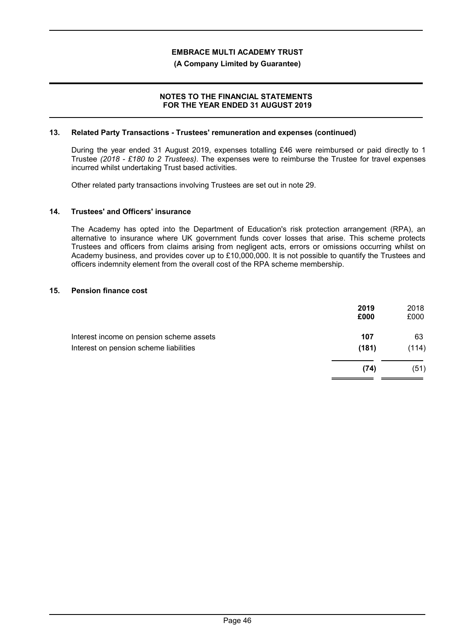## **(A Company Limited by Guarantee)**

# **NOTES TO THE FINANCIAL STATEMENTS FOR THE YEAR ENDED 31 AUGUST 2019**

#### **13. Related Party Transactions - Trustees' remuneration and expenses (continued)**

During the year ended 31 August 2019, expenses totalling £46 were reimbursed or paid directly to 1 Trustee *(2018 - £180 to 2 Trustees)*. The expenses were to reimburse the Trustee for travel expenses incurred whilst undertaking Trust based activities.

Other related party transactions involving Trustees are set out in note 29.

#### **14. Trustees' and Officers' insurance**

The Academy has opted into the Department of Education's risk protection arrangement (RPA), an alternative to insurance where UK government funds cover losses that arise. This scheme protects Trustees and officers from claims arising from negligent acts, errors or omissions occurring whilst on Academy business, and provides cover up to £10,000,000. It is not possible to quantify the Trustees and officers indemnity element from the overall cost of the RPA scheme membership.

#### **15. Pension finance cost**

| 2019<br>£000 | 2018<br>£000 |
|--------------|--------------|
| 107          | 63           |
| (181)        | (114)        |
| (74)         | (51)         |
|              |              |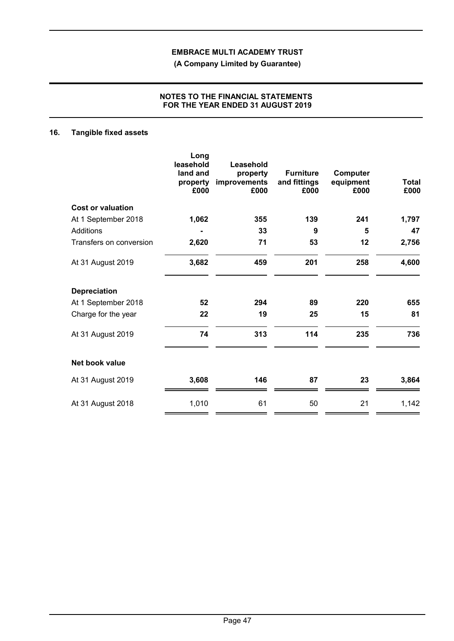**(A Company Limited by Guarantee)**

# **NOTES TO THE FINANCIAL STATEMENTS FOR THE YEAR ENDED 31 AUGUST 2019**

# **16. Tangible fixed assets**

|                          | Long<br>leasehold<br>land and<br>property<br>£000 | Leasehold<br>property<br>improvements<br>£000 | <b>Furniture</b><br>and fittings<br>£000 | Computer<br>equipment<br>£000 | <b>Total</b><br>£000 |
|--------------------------|---------------------------------------------------|-----------------------------------------------|------------------------------------------|-------------------------------|----------------------|
| <b>Cost or valuation</b> |                                                   |                                               |                                          |                               |                      |
| At 1 September 2018      | 1,062                                             | 355                                           | 139                                      | 241                           | 1,797                |
| Additions                |                                                   | 33                                            | 9                                        | 5                             | 47                   |
| Transfers on conversion  | 2,620                                             | 71                                            | 53                                       | 12                            | 2,756                |
| At 31 August 2019        | 3,682                                             | 459                                           | 201                                      | 258                           | 4,600                |
| <b>Depreciation</b>      |                                                   |                                               |                                          |                               |                      |
| At 1 September 2018      | 52                                                | 294                                           | 89                                       | 220                           | 655                  |
| Charge for the year      | 22                                                | 19                                            | 25                                       | 15                            | 81                   |
| At 31 August 2019        | 74                                                | 313                                           | 114                                      | 235                           | 736                  |
| Net book value           |                                                   |                                               |                                          |                               |                      |
| At 31 August 2019        | 3,608                                             | 146                                           | 87                                       | 23                            | 3,864                |
| At 31 August 2018        | 1,010                                             | 61                                            | 50                                       | 21                            | 1,142                |
|                          |                                                   |                                               |                                          |                               |                      |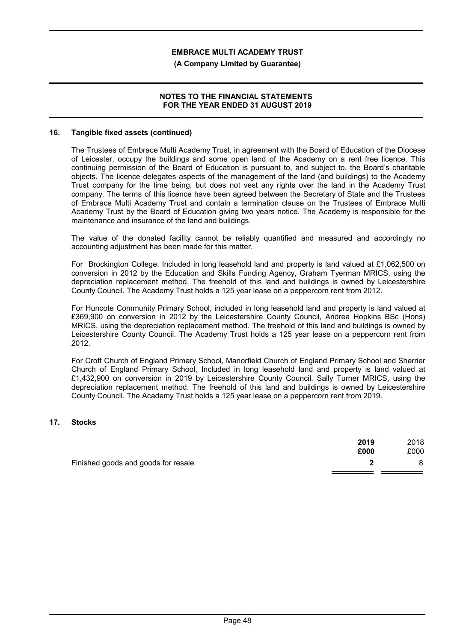#### **(A Company Limited by Guarantee)**

## **NOTES TO THE FINANCIAL STATEMENTS FOR THE YEAR ENDED 31 AUGUST 2019**

#### **16. Tangible fixed assets (continued)**

The Trustees of Embrace Multi Academy Trust, in agreement with the Board of Education of the Diocese of Leicester, occupy the buildings and some open land of the Academy on a rent free licence. This continuing permission of the Board of Education is pursuant to, and subject to, the Board's charitable objects. The licence delegates aspects of the management of the land (and buildings) to the Academy Trust company for the time being, but does not vest any rights over the land in the Academy Trust company. The terms of this licence have been agreed between the Secretary of State and the Trustees of Embrace Multi Academy Trust and contain a termination clause on the Trustees of Embrace Multi Academy Trust by the Board of Education giving two years notice. The Academy is responsible for the maintenance and insurance of the land and buildings.

The value of the donated facility cannot be reliably quantified and measured and accordingly no accounting adjustment has been made for this matter.

For Brockington College, Included in long leasehold land and property is land valued at £1,062,500 on conversion in 2012 by the Education and Skills Funding Agency, Graham Tyerman MRICS, using the depreciation replacement method. The freehold of this land and buildings is owned by Leicestershire County Council. The Academy Trust holds a 125 year lease on a peppercorn rent from 2012.

For Huncote Community Primary School, included in long leasehold land and property is land valued at £369,900 on conversion in 2012 by the Leicestershire County Council, Andrea Hopkins BSc (Hons) MRICS, using the depreciation replacement method. The freehold of this land and buildings is owned by Leicestershire County Council. The Academy Trust holds a 125 year lease on a peppercorn rent from 2012.

For Croft Church of England Primary School, Manorfield Church of England Primary School and Sherrier Church of England Primary School, Included in long leasehold land and property is land valued at £1,432,900 on conversion in 2019 by Leicestershire County Council, Sally Turner MRICS, using the depreciation replacement method. The freehold of this land and buildings is owned by Leicestershire County Council. The Academy Trust holds a 125 year lease on a peppercorn rent from 2019.

# **17. Stocks**

|                                     | 2019<br>£000 | 2018<br>£000 |
|-------------------------------------|--------------|--------------|
| Finished goods and goods for resale |              |              |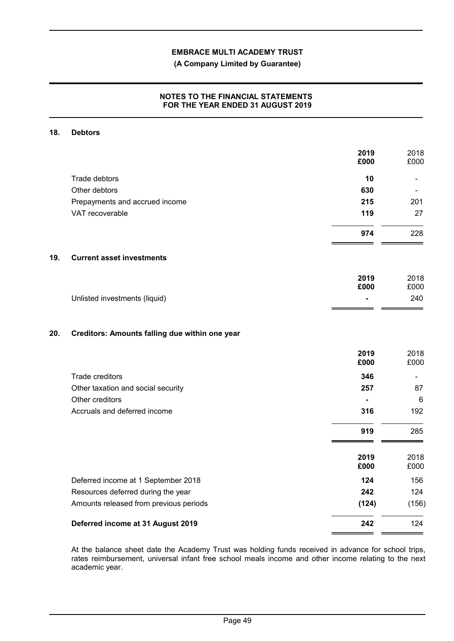**(A Company Limited by Guarantee)**

# **NOTES TO THE FINANCIAL STATEMENTS FOR THE YEAR ENDED 31 AUGUST 2019**

#### **18. Debtors**

|     |                                                | 2019<br>£000 | 2018<br>£000 |
|-----|------------------------------------------------|--------------|--------------|
|     | Trade debtors                                  | 10           |              |
|     | Other debtors                                  | 630          |              |
|     | Prepayments and accrued income                 | 215          | 201          |
|     | VAT recoverable                                | 119          | 27           |
|     |                                                | 974          | 228          |
| 19. | <b>Current asset investments</b>               |              |              |
|     |                                                | 2019<br>£000 | 2018<br>£000 |
|     | Unlisted investments (liquid)                  |              | 240          |
|     |                                                |              |              |
| 20. | Creditors: Amounts falling due within one year |              |              |
|     |                                                | 2019<br>£000 | 2018<br>£000 |
|     | Trade creditors                                | 346          |              |
|     | Other taxation and social security             | 257          | 87           |
|     | Other creditors                                |              | 6            |
|     | Accruals and deferred income                   | 316          | 192          |
|     |                                                | 919          | 285          |
|     |                                                | 2019<br>£000 | 2018<br>£000 |
|     | Deferred income at 1 September 2018            | 124          | 156          |
|     | Resources deferred during the year             | 242          | 124          |
|     | Amounts released from previous periods         | (124)        | (156)        |
|     | Deferred income at 31 August 2019              | 242          | 124          |
|     |                                                |              |              |

At the balance sheet date the Academy Trust was holding funds received in advance for school trips, rates reimbursement, universal infant free school meals income and other income relating to the next academic year.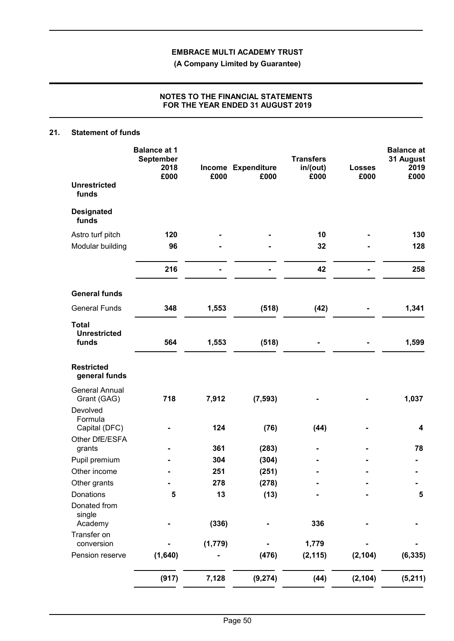**(A Company Limited by Guarantee)**

# **NOTES TO THE FINANCIAL STATEMENTS FOR THE YEAR ENDED 31 AUGUST 2019**

# **21. Statement of funds**

|                                              | <b>Balance at 1</b><br>September<br>2018<br>£000 | £000    | Income Expenditure<br>£000 | <b>Transfers</b><br>in/(out)<br>£000 | <b>Losses</b><br>£000 | <b>Balance at</b><br>31 August<br>2019<br>£000 |
|----------------------------------------------|--------------------------------------------------|---------|----------------------------|--------------------------------------|-----------------------|------------------------------------------------|
| <b>Unrestricted</b><br>funds                 |                                                  |         |                            |                                      |                       |                                                |
| <b>Designated</b><br>funds                   |                                                  |         |                            |                                      |                       |                                                |
| Astro turf pitch                             | 120                                              |         |                            | 10                                   |                       | 130                                            |
| Modular building                             | 96                                               |         |                            | 32                                   |                       | 128                                            |
|                                              | 216                                              |         |                            | 42                                   |                       | 258                                            |
| <b>General funds</b>                         |                                                  |         |                            |                                      |                       |                                                |
| <b>General Funds</b>                         | 348                                              | 1,553   | (518)                      | (42)                                 |                       | 1,341                                          |
| <b>Total</b><br><b>Unrestricted</b><br>funds | 564                                              | 1,553   | (518)                      |                                      |                       | 1,599                                          |
| <b>Restricted</b><br>general funds           |                                                  |         |                            |                                      |                       |                                                |
| <b>General Annual</b><br>Grant (GAG)         | 718                                              | 7,912   | (7, 593)                   |                                      |                       | 1,037                                          |
| Devolved<br>Formula<br>Capital (DFC)         |                                                  | 124     | (76)                       | (44)                                 |                       | 4                                              |
| Other DfE/ESFA                               |                                                  |         |                            |                                      |                       |                                                |
| grants                                       |                                                  | 361     | (283)                      |                                      |                       | 78                                             |
| Pupil premium                                |                                                  | 304     | (304)                      |                                      |                       |                                                |
| Other income                                 |                                                  | 251     | (251)                      |                                      |                       |                                                |
| Other grants                                 |                                                  | 278     | (278)                      |                                      |                       |                                                |
| Donations<br>Donated from                    | 5                                                | 13      | (13)                       |                                      |                       | $\sqrt{5}$                                     |
| single<br>Academy                            |                                                  | (336)   |                            | 336                                  |                       |                                                |
| Transfer on<br>conversion                    |                                                  | (1,779) |                            | 1,779                                |                       |                                                |
| Pension reserve                              | (1,640)                                          |         | (476)                      | (2, 115)                             | (2, 104)              | (6, 335)                                       |
|                                              | (917)                                            | 7,128   | (9, 274)                   | (44)                                 | (2, 104)              | (5, 211)                                       |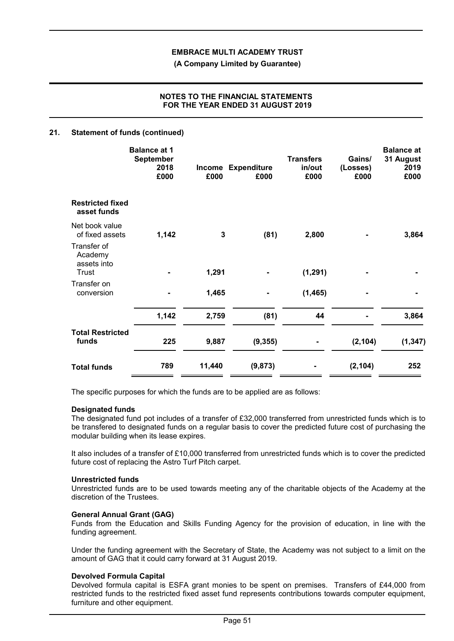**(A Company Limited by Guarantee)**

# **NOTES TO THE FINANCIAL STATEMENTS FOR THE YEAR ENDED 31 AUGUST 2019**

## **21. Statement of funds (continued)**

|                                        | <b>Balance at 1</b><br>September<br>2018<br>£000 | £000         | Income Expenditure<br>£000 | <b>Transfers</b><br>in/out<br>£000 | Gains/<br>(Losses)<br>£000 | <b>Balance at</b><br>31 August<br>2019<br>£000 |
|----------------------------------------|--------------------------------------------------|--------------|----------------------------|------------------------------------|----------------------------|------------------------------------------------|
| <b>Restricted fixed</b><br>asset funds |                                                  |              |                            |                                    |                            |                                                |
| Net book value<br>of fixed assets      | 1,142                                            | $\mathbf{3}$ | (81)                       | 2,800                              |                            | 3,864                                          |
| Transfer of<br>Academy<br>assets into  |                                                  |              |                            |                                    |                            |                                                |
| Trust                                  |                                                  | 1,291        |                            | (1, 291)                           |                            |                                                |
| Transfer on<br>conversion              |                                                  | 1,465        |                            | (1, 465)                           |                            |                                                |
|                                        | 1,142                                            | 2,759        | (81)                       | 44                                 |                            | 3,864                                          |
| <b>Total Restricted</b><br>funds       | 225                                              | 9,887        | (9, 355)                   |                                    | (2, 104)                   | (1, 347)                                       |
| <b>Total funds</b>                     | 789                                              | 11,440       | (9,873)                    |                                    | (2, 104)                   | 252                                            |

The specific purposes for which the funds are to be applied are as follows:

#### **Designated funds**

The designated fund pot includes of a transfer of £32,000 transferred from unrestricted funds which is to be transfered to designated funds on a regular basis to cover the predicted future cost of purchasing the modular building when its lease expires.

It also includes of a transfer of £10,000 transferred from unrestricted funds which is to cover the predicted future cost of replacing the Astro Turf Pitch carpet.

#### **Unrestricted funds**

Unrestricted funds are to be used towards meeting any of the charitable objects of the Academy at the discretion of the Trustees.

## **General Annual Grant (GAG)**

Funds from the Education and Skills Funding Agency for the provision of education, in line with the funding agreement.

Under the funding agreement with the Secretary of State, the Academy was not subject to a limit on the amount of GAG that it could carry forward at 31 August 2019.

# **Devolved Formula Capital**

Devolved formula capital is ESFA grant monies to be spent on premises. Transfers of £44,000 from restricted funds to the restricted fixed asset fund represents contributions towards computer equipment, furniture and other equipment.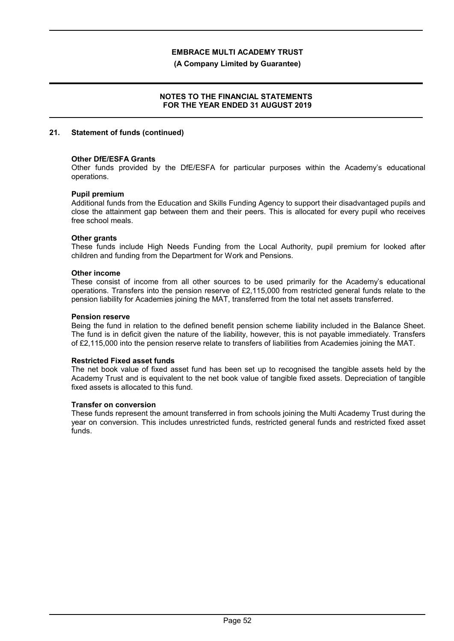**(A Company Limited by Guarantee)**

# **NOTES TO THE FINANCIAL STATEMENTS FOR THE YEAR ENDED 31 AUGUST 2019**

#### **21. Statement of funds (continued)**

#### **Other DfE/ESFA Grants**

Other funds provided by the DfE/ESFA for particular purposes within the Academy's educational operations.

#### **Pupil premium**

Additional funds from the Education and Skills Funding Agency to support their disadvantaged pupils and close the attainment gap between them and their peers. This is allocated for every pupil who receives free school meals.

#### **Other grants**

These funds include High Needs Funding from the Local Authority, pupil premium for looked after children and funding from the Department for Work and Pensions.

#### **Other income**

These consist of income from all other sources to be used primarily for the Academy's educational operations. Transfers into the pension reserve of £2,115,000 from restricted general funds relate to the pension liability for Academies joining the MAT, transferred from the total net assets transferred.

#### **Pension reserve**

Being the fund in relation to the defined benefit pension scheme liability included in the Balance Sheet. The fund is in deficit given the nature of the liability, however, this is not payable immediately. Transfers of £2,115,000 into the pension reserve relate to transfers of liabilities from Academies joining the MAT.

#### **Restricted Fixed asset funds**

The net book value of fixed asset fund has been set up to recognised the tangible assets held by the Academy Trust and is equivalent to the net book value of tangible fixed assets. Depreciation of tangible fixed assets is allocated to this fund.

## **Transfer on conversion**

These funds represent the amount transferred in from schools joining the Multi Academy Trust during the year on conversion. This includes unrestricted funds, restricted general funds and restricted fixed asset funds.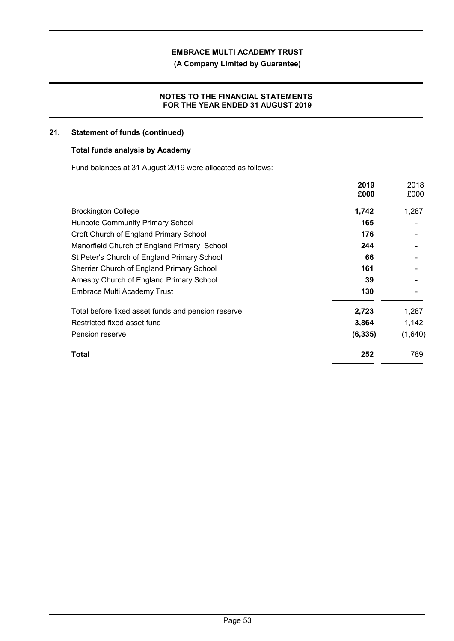**(A Company Limited by Guarantee)**

# **NOTES TO THE FINANCIAL STATEMENTS FOR THE YEAR ENDED 31 AUGUST 2019**

# **21. Statement of funds (continued)**

# **Total funds analysis by Academy**

Fund balances at 31 August 2019 were allocated as follows:

|                                                    | 2019<br>£000 | 2018<br>£000 |
|----------------------------------------------------|--------------|--------------|
| <b>Brockington College</b>                         | 1,742        | 1,287        |
| <b>Huncote Community Primary School</b>            | 165          |              |
| Croft Church of England Primary School             | 176          |              |
| Manorfield Church of England Primary School        | 244          |              |
| St Peter's Church of England Primary School        | 66           |              |
| Sherrier Church of England Primary School          | 161          |              |
| Arnesby Church of England Primary School           | 39           |              |
| <b>Embrace Multi Academy Trust</b>                 | 130          |              |
| Total before fixed asset funds and pension reserve | 2,723        | 1,287        |
| Restricted fixed asset fund                        | 3,864        | 1,142        |
| Pension reserve                                    | (6, 335)     | (1,640)      |
| Total                                              | 252          | 789          |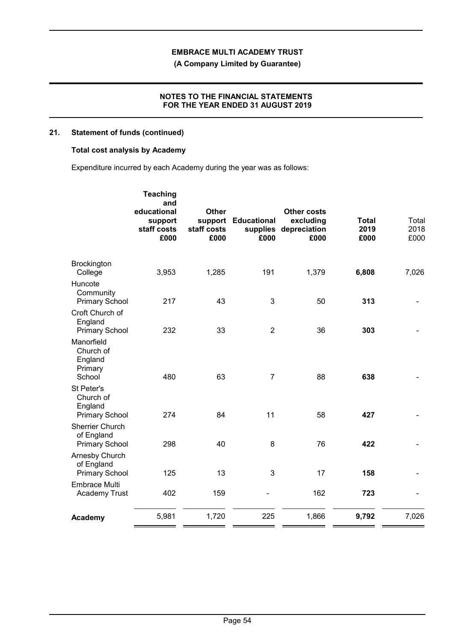**(A Company Limited by Guarantee)**

# **NOTES TO THE FINANCIAL STATEMENTS FOR THE YEAR ENDED 31 AUGUST 2019**

# **21. Statement of funds (continued)**

# **Total cost analysis by Academy**

Expenditure incurred by each Academy during the year was as follows:

|                                                               | <b>Teaching</b><br>and<br>educational<br>support<br>staff costs<br>£000 | <b>Other</b><br>support<br>staff costs<br>£000 | <b>Educational</b><br>supplies<br>£000 | <b>Other costs</b><br>excluding<br>depreciation<br>£000 | <b>Total</b><br>2019<br>£000 | Total<br>2018<br>£000 |
|---------------------------------------------------------------|-------------------------------------------------------------------------|------------------------------------------------|----------------------------------------|---------------------------------------------------------|------------------------------|-----------------------|
| Brockington<br>College                                        | 3,953                                                                   | 1,285                                          | 191                                    | 1,379                                                   | 6,808                        | 7,026                 |
| Huncote<br>Community<br><b>Primary School</b>                 | 217                                                                     | 43                                             | 3                                      | 50                                                      | 313                          |                       |
| Croft Church of<br>England<br><b>Primary School</b>           | 232                                                                     | 33                                             | $\overline{2}$                         | 36                                                      | 303                          |                       |
| Manorfield<br>Church of<br>England<br>Primary<br>School       | 480                                                                     | 63                                             | $\overline{7}$                         | 88                                                      | 638                          |                       |
| St Peter's<br>Church of<br>England<br><b>Primary School</b>   | 274                                                                     | 84                                             | 11                                     | 58                                                      | 427                          |                       |
| <b>Sherrier Church</b><br>of England<br><b>Primary School</b> | 298                                                                     | 40                                             | 8                                      | 76                                                      | 422                          |                       |
| Arnesby Church<br>of England<br><b>Primary School</b>         | 125                                                                     | 13                                             | 3                                      | 17                                                      | 158                          |                       |
| <b>Embrace Multi</b><br>Academy Trust                         | 402                                                                     | 159                                            |                                        | 162                                                     | 723                          |                       |
| Academy                                                       | 5,981                                                                   | 1,720                                          | 225                                    | 1,866                                                   | 9,792                        | 7,026                 |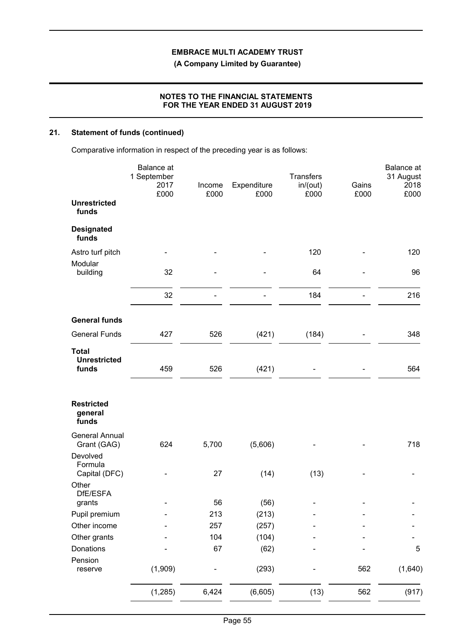**(A Company Limited by Guarantee)**

# **NOTES TO THE FINANCIAL STATEMENTS FOR THE YEAR ENDED 31 AUGUST 2019**

# **21. Statement of funds (continued)**

Comparative information in respect of the preceding year is as follows:

|                                              | Balance at<br>1 September<br>2017<br>£000 | Income<br>£000 | Expenditure<br>£000 | <b>Transfers</b><br>in/(out)<br>£000 | Gains<br>£000 | Balance at<br>31 August<br>2018<br>£000 |
|----------------------------------------------|-------------------------------------------|----------------|---------------------|--------------------------------------|---------------|-----------------------------------------|
| <b>Unrestricted</b><br>funds                 |                                           |                |                     |                                      |               |                                         |
| <b>Designated</b><br>funds                   |                                           |                |                     |                                      |               |                                         |
| Astro turf pitch                             | -                                         |                |                     | 120                                  |               | 120                                     |
| Modular<br>building                          | 32                                        |                |                     | 64                                   |               | 96                                      |
|                                              | 32                                        |                |                     | 184                                  |               | 216                                     |
| <b>General funds</b>                         |                                           |                |                     |                                      |               |                                         |
| <b>General Funds</b>                         | 427                                       | 526            | (421)               | (184)                                |               | 348                                     |
| <b>Total</b><br><b>Unrestricted</b><br>funds | 459                                       | 526            | (421)               |                                      |               | 564                                     |
| <b>Restricted</b><br>general<br>funds        |                                           |                |                     |                                      |               |                                         |
| <b>General Annual</b><br>Grant (GAG)         | 624                                       | 5,700          | (5,606)             |                                      |               | 718                                     |
| Devolved<br>Formula<br>Capital (DFC)         |                                           | 27             | (14)                | (13)                                 |               |                                         |
| Other<br>DfE/ESFA                            |                                           |                |                     |                                      |               |                                         |
| grants                                       |                                           | 56             | (56)                |                                      |               |                                         |
| Pupil premium                                |                                           | 213            | (213)               |                                      |               |                                         |
| Other income                                 |                                           | 257            | (257)               |                                      |               |                                         |
| Other grants                                 |                                           | 104            | (104)               |                                      |               |                                         |
| Donations                                    |                                           | 67             | (62)                |                                      |               | 5                                       |
| Pension<br>reserve                           | (1,909)                                   |                | (293)               |                                      | 562           | (1,640)                                 |
|                                              | (1, 285)                                  | 6,424          | (6,605)             | (13)                                 | 562           | (917)                                   |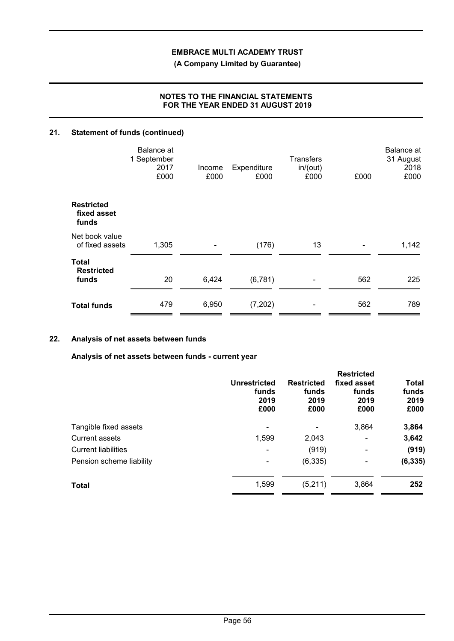**(A Company Limited by Guarantee)**

# **NOTES TO THE FINANCIAL STATEMENTS FOR THE YEAR ENDED 31 AUGUST 2019**

# **21. Statement of funds (continued)**

|                                           | Balance at<br>1 September<br>2017<br>£000 | Income<br>£000 | Expenditure<br>£000 | <b>Transfers</b><br>in/(out)<br>£000 | £000 | <b>Balance</b> at<br>31 August<br>2018<br>£000 |
|-------------------------------------------|-------------------------------------------|----------------|---------------------|--------------------------------------|------|------------------------------------------------|
| <b>Restricted</b><br>fixed asset<br>funds |                                           |                |                     |                                      |      |                                                |
| Net book value<br>of fixed assets         | 1,305                                     |                | (176)               | 13                                   |      | 1,142                                          |
| Total<br><b>Restricted</b><br>funds       | 20                                        | 6,424          | (6, 781)            |                                      | 562  | 225                                            |
| <b>Total funds</b>                        | 479                                       | 6,950          | (7,202)             |                                      | 562  | 789                                            |

# **22. Analysis of net assets between funds**

**Analysis of net assets between funds - current year**

|                            | <b>Unrestricted</b><br>funds<br>2019<br>£000 | <b>Restricted</b><br>funds<br>2019<br>£000 | <b>Restricted</b><br>fixed asset<br>funds<br>2019<br>£000 | <b>Total</b><br>funds<br>2019<br>£000 |
|----------------------------|----------------------------------------------|--------------------------------------------|-----------------------------------------------------------|---------------------------------------|
| Tangible fixed assets      |                                              |                                            | 3,864                                                     | 3,864                                 |
| Current assets             | 1,599                                        | 2,043                                      | $\qquad \qquad \blacksquare$                              | 3,642                                 |
| <b>Current liabilities</b> | $\overline{\phantom{0}}$                     | (919)                                      | $\qquad \qquad \blacksquare$                              | (919)                                 |
| Pension scheme liability   |                                              | (6, 335)                                   | ٠                                                         | (6, 335)                              |
| <b>Total</b>               | 1,599                                        | (5,211)                                    | 3,864                                                     | 252                                   |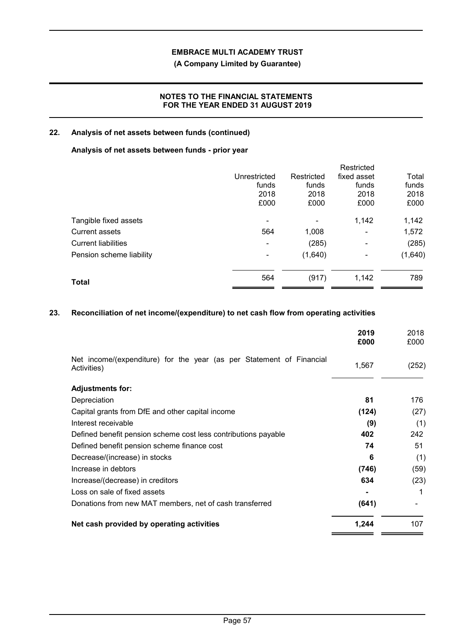# **(A Company Limited by Guarantee)**

# **NOTES TO THE FINANCIAL STATEMENTS FOR THE YEAR ENDED 31 AUGUST 2019**

# **22. Analysis of net assets between funds (continued)**

# **Analysis of net assets between funds - prior year**

|                            |                          |            | Restricted               |         |
|----------------------------|--------------------------|------------|--------------------------|---------|
|                            | Unrestricted             | Restricted | fixed asset              | Total   |
|                            | funds                    | funds      | funds                    | funds   |
|                            | 2018                     | 2018       | 2018                     | 2018    |
|                            | £000                     | £000       | £000                     | £000    |
| Tangible fixed assets      | $\overline{\phantom{a}}$ |            | 1,142                    | 1,142   |
| <b>Current assets</b>      | 564                      | 1,008      | $\overline{\phantom{a}}$ | 1,572   |
| <b>Current liabilities</b> | $\overline{\phantom{a}}$ | (285)      | ۰                        | (285)   |
| Pension scheme liability   | ۰                        | (1,640)    |                          | (1,640) |
| <b>Total</b>               | 564                      | (917)      | 1,142                    | 789     |
|                            |                          |            |                          |         |

# **23. Reconciliation of net income/(expenditure) to net cash flow from operating activities**

|                                                                                     | 2019<br>£000 | 2018<br>£000 |
|-------------------------------------------------------------------------------------|--------------|--------------|
| Net income/(expenditure) for the year (as per Statement of Financial<br>Activities) | 1,567        | (252)        |
| <b>Adjustments for:</b>                                                             |              |              |
| Depreciation                                                                        | 81           | 176          |
| Capital grants from DfE and other capital income                                    | (124)        | (27)         |
| Interest receivable                                                                 | (9)          | (1)          |
| Defined benefit pension scheme cost less contributions payable                      | 402          | 242          |
| Defined benefit pension scheme finance cost                                         | 74           | 51           |
| Decrease/(increase) in stocks                                                       | 6            | (1)          |
| Increase in debtors                                                                 | (746)        | (59)         |
| Increase/(decrease) in creditors                                                    | 634          | (23)         |
| Loss on sale of fixed assets                                                        |              |              |
| Donations from new MAT members, net of cash transferred                             | (641)        |              |
| Net cash provided by operating activities                                           | 1,244        | 107          |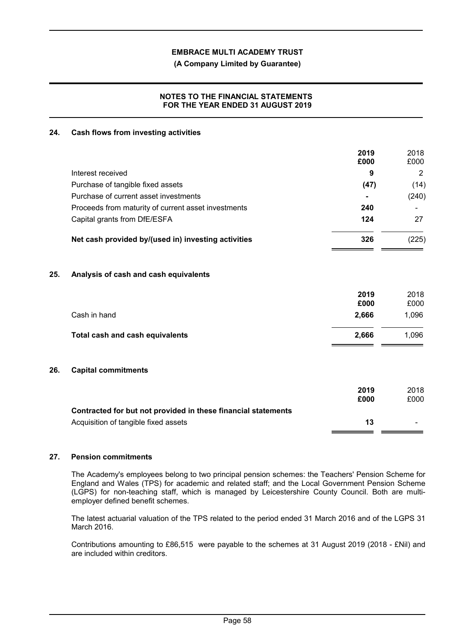**(A Company Limited by Guarantee)**

# **NOTES TO THE FINANCIAL STATEMENTS FOR THE YEAR ENDED 31 AUGUST 2019**

# **24. Cash flows from investing activities**

|     |                                                               | 2019<br>£000 | 2018<br>£000   |
|-----|---------------------------------------------------------------|--------------|----------------|
|     | Interest received                                             | 9            | $\overline{2}$ |
|     | Purchase of tangible fixed assets                             | (47)         | (14)           |
|     | Purchase of current asset investments                         |              | (240)          |
|     | Proceeds from maturity of current asset investments           | 240          |                |
|     | Capital grants from DfE/ESFA                                  | 124          | 27             |
|     | Net cash provided by/(used in) investing activities           | 326          | (225)          |
| 25. | Analysis of cash and cash equivalents                         |              |                |
|     |                                                               | 2019<br>£000 | 2018<br>£000   |
|     | Cash in hand                                                  | 2,666        | 1,096          |
|     | Total cash and cash equivalents                               | 2,666        | 1,096          |
| 26. | <b>Capital commitments</b>                                    |              |                |
|     |                                                               | 2019<br>£000 | 2018<br>£000   |
|     | Contracted for but not provided in these financial statements |              |                |
|     | Acquisition of tangible fixed assets                          | 13           |                |
|     |                                                               |              |                |

# **27. Pension commitments**

The Academy's employees belong to two principal pension schemes: the Teachers' Pension Scheme for England and Wales (TPS) for academic and related staff; and the Local Government Pension Scheme (LGPS) for non-teaching staff, which is managed by Leicestershire County Council. Both are multiemployer defined benefit schemes.

The latest actuarial valuation of the TPS related to the period ended 31 March 2016 and of the LGPS 31 March 2016.

Contributions amounting to £86,515 were payable to the schemes at 31 August 2019 (2018 - £Nil) and are included within creditors.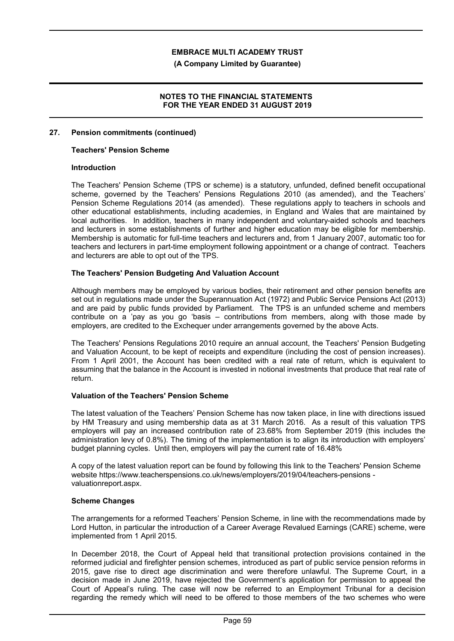**(A Company Limited by Guarantee)**

## **NOTES TO THE FINANCIAL STATEMENTS FOR THE YEAR ENDED 31 AUGUST 2019**

## **27. Pension commitments (continued)**

#### **Teachers' Pension Scheme**

#### **Introduction**

The Teachers' Pension Scheme (TPS or scheme) is a statutory, unfunded, defined benefit occupational scheme, governed by the Teachers' Pensions Regulations 2010 (as amended), and the Teachers' Pension Scheme Regulations 2014 (as amended). These regulations apply to teachers in schools and other educational establishments, including academies, in England and Wales that are maintained by local authorities. In addition, teachers in many independent and voluntary-aided schools and teachers and lecturers in some establishments of further and higher education may be eligible for membership. Membership is automatic for full-time teachers and lecturers and, from 1 January 2007, automatic too for teachers and lecturers in part-time employment following appointment or a change of contract. Teachers and lecturers are able to opt out of the TPS.

#### **The Teachers' Pension Budgeting And Valuation Account**

Although members may be employed by various bodies, their retirement and other pension benefits are set out in regulations made under the Superannuation Act (1972) and Public Service Pensions Act (2013) and are paid by public funds provided by Parliament. The TPS is an unfunded scheme and members contribute on a 'pay as you go 'basis – contributions from members, along with those made by employers, are credited to the Exchequer under arrangements governed by the above Acts.

The Teachers' Pensions Regulations 2010 require an annual account, the Teachers' Pension Budgeting and Valuation Account, to be kept of receipts and expenditure (including the cost of pension increases). From 1 April 2001, the Account has been credited with a real rate of return, which is equivalent to assuming that the balance in the Account is invested in notional investments that produce that real rate of return.

#### **Valuation of the Teachers' Pension Scheme**

The latest valuation of the Teachers' Pension Scheme has now taken place, in line with directions issued by HM Treasury and using membership data as at 31 March 2016. As a result of this valuation TPS employers will pay an increased contribution rate of 23.68% from September 2019 (this includes the administration levy of 0.8%). The timing of the implementation is to align its introduction with employers' budget planning cycles. Until then, employers will pay the current rate of 16.48%

A copy of the latest valuation report can be found by following this link to the Teachers' Pension Scheme website https://www.teacherspensions.co.uk/news/employers/2019/04/teachers-pensions valuationreport.aspx.

#### **Scheme Changes**

The arrangements for a reformed Teachers' Pension Scheme, in line with the recommendations made by Lord Hutton, in particular the introduction of a Career Average Revalued Earnings (CARE) scheme, were implemented from 1 April 2015.

In December 2018, the Court of Appeal held that transitional protection provisions contained in the reformed judicial and firefighter pension schemes, introduced as part of public service pension reforms in 2015, gave rise to direct age discrimination and were therefore unlawful. The Supreme Court, in a decision made in June 2019, have rejected the Government's application for permission to appeal the Court of Appeal's ruling. The case will now be referred to an Employment Tribunal for a decision regarding the remedy which will need to be offered to those members of the two schemes who were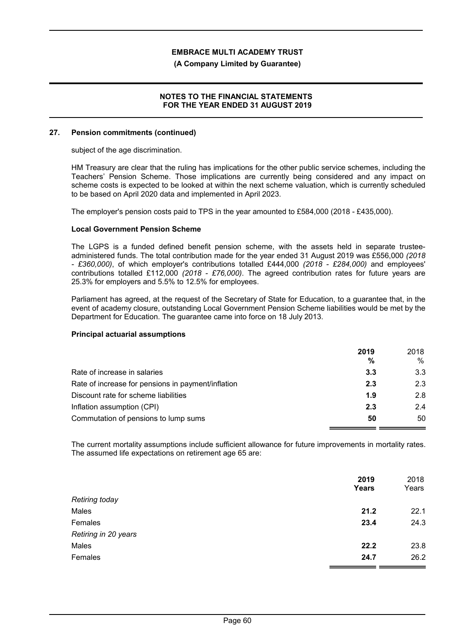**(A Company Limited by Guarantee)**

#### **NOTES TO THE FINANCIAL STATEMENTS FOR THE YEAR ENDED 31 AUGUST 2019**

#### **27. Pension commitments (continued)**

subject of the age discrimination.

HM Treasury are clear that the ruling has implications for the other public service schemes, including the Teachers' Pension Scheme. Those implications are currently being considered and any impact on scheme costs is expected to be looked at within the next scheme valuation, which is currently scheduled to be based on April 2020 data and implemented in April 2023.

The employer's pension costs paid to TPS in the year amounted to £584,000 (2018 - £435,000).

# **Local Government Pension Scheme**

The LGPS is a funded defined benefit pension scheme, with the assets held in separate trusteeadministered funds. The total contribution made for the year ended 31 August 2019 was £556,000 *(2018 - £360,000)*, of which employer's contributions totalled £444,000 *(2018 - £284,000)* and employees' contributions totalled £112,000 *(2018 - £76,000)*. The agreed contribution rates for future years are 25.3% for employers and 5.5% to 12.5% for employees.

Parliament has agreed, at the request of the Secretary of State for Education, to a guarantee that, in the event of academy closure, outstanding Local Government Pension Scheme liabilities would be met by the Department for Education. The guarantee came into force on 18 July 2013.

#### **Principal actuarial assumptions**

|                                                    | 2019<br>% | 2018<br>% |
|----------------------------------------------------|-----------|-----------|
| Rate of increase in salaries                       | 3.3       | 3.3       |
| Rate of increase for pensions in payment/inflation | 2.3       | 2.3       |
| Discount rate for scheme liabilities               | 1.9       | 2.8       |
| Inflation assumption (CPI)                         | 2.3       | 2.4       |
| Commutation of pensions to lump sums               | 50        | 50        |

The current mortality assumptions include sufficient allowance for future improvements in mortality rates. The assumed life expectations on retirement age 65 are:

|                       | 2019<br><b>Years</b> | 2018<br>Years |
|-----------------------|----------------------|---------------|
| <b>Retiring today</b> |                      |               |
| Males                 | 21.2                 | 22.1          |
| Females               | 23.4                 | 24.3          |
| Retiring in 20 years  |                      |               |
| Males                 | 22.2                 | 23.8          |
| Females               | 24.7                 | 26.2          |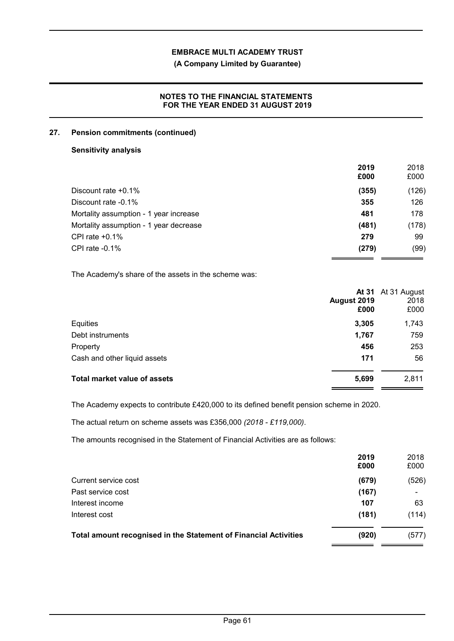**(A Company Limited by Guarantee)**

# **NOTES TO THE FINANCIAL STATEMENTS FOR THE YEAR ENDED 31 AUGUST 2019**

# **27. Pension commitments (continued)**

## **Sensitivity analysis**

|                                        | 2019<br>£000 | 2018<br>£000 |
|----------------------------------------|--------------|--------------|
| Discount rate $+0.1\%$                 | (355)        | (126)        |
| Discount rate -0.1%                    | 355          | 126          |
| Mortality assumption - 1 year increase | 481          | 178          |
| Mortality assumption - 1 year decrease | (481)        | (178)        |
| CPI rate $+0.1\%$                      | 279          | 99           |
| CPI rate $-0.1\%$                      | (279)        | (99)         |

The Academy's share of the assets in the scheme was:

|                                     | August 2019<br>£000 | At 31 At 31 August<br>2018<br>£000 |
|-------------------------------------|---------------------|------------------------------------|
| Equities                            | 3,305               | 1,743                              |
| Debt instruments                    | 1,767               | 759                                |
| Property                            | 456                 | 253                                |
| Cash and other liquid assets        | 171                 | 56                                 |
| <b>Total market value of assets</b> | 5,699               | 2,811                              |

The Academy expects to contribute £420,000 to its defined benefit pension scheme in 2020.

The actual return on scheme assets was £356,000 *(2018 - £119,000)*.

The amounts recognised in the Statement of Financial Activities are as follows:

|                                                                  | 2019<br>£000 | 2018<br>£000 |
|------------------------------------------------------------------|--------------|--------------|
| Current service cost                                             | (679)        | (526)        |
| Past service cost                                                | (167)        |              |
| Interest income                                                  | 107          | 63           |
| Interest cost                                                    | (181)        | (114)        |
| Total amount recognised in the Statement of Financial Activities | (920)        | (577)        |
|                                                                  |              |              |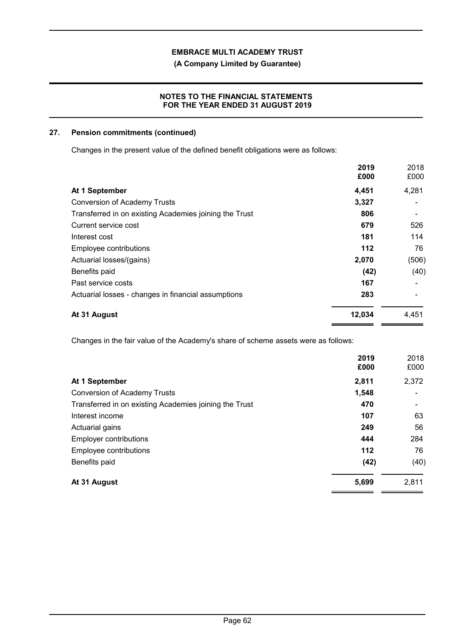**(A Company Limited by Guarantee)**

# **NOTES TO THE FINANCIAL STATEMENTS FOR THE YEAR ENDED 31 AUGUST 2019**

# **27. Pension commitments (continued)**

Changes in the present value of the defined benefit obligations were as follows:

|                                                        | 2019<br>£000 | 2018<br>£000 |
|--------------------------------------------------------|--------------|--------------|
| At 1 September                                         | 4,451        | 4,281        |
| <b>Conversion of Academy Trusts</b>                    | 3,327        |              |
| Transferred in on existing Academies joining the Trust | 806          |              |
| Current service cost                                   | 679          | 526          |
| Interest cost                                          | 181          | 114          |
| Employee contributions                                 | 112          | 76           |
| Actuarial losses/(gains)                               | 2,070        | (506)        |
| Benefits paid                                          | (42)         | (40)         |
| Past service costs                                     | 167          |              |
| Actuarial losses - changes in financial assumptions    | 283          |              |
| At 31 August                                           | 12,034       | 4,451        |

Changes in the fair value of the Academy's share of scheme assets were as follows:

|                                                        | 2019<br>£000 | 2018<br>£000 |
|--------------------------------------------------------|--------------|--------------|
| At 1 September                                         | 2,811        | 2,372        |
| <b>Conversion of Academy Trusts</b>                    | 1,548        |              |
| Transferred in on existing Academies joining the Trust | 470          |              |
| Interest income                                        | 107          | 63           |
| Actuarial gains                                        | 249          | 56           |
| <b>Employer contributions</b>                          | 444          | 284          |
| Employee contributions                                 | 112          | 76           |
| Benefits paid                                          | (42)         | (40)         |
| At 31 August                                           | 5,699        | 2,811        |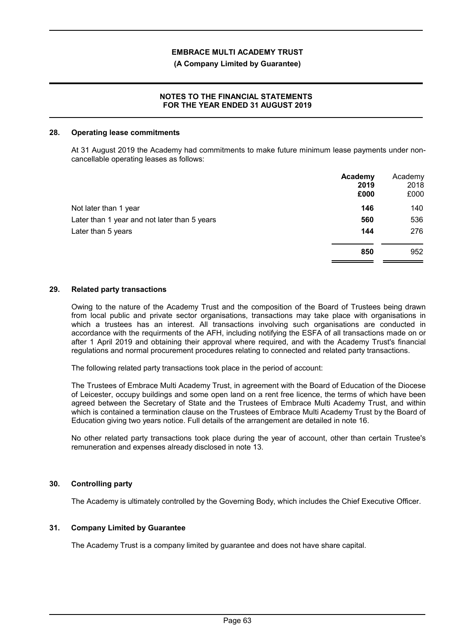#### **(A Company Limited by Guarantee)**

# **NOTES TO THE FINANCIAL STATEMENTS FOR THE YEAR ENDED 31 AUGUST 2019**

#### **28. Operating lease commitments**

At 31 August 2019 the Academy had commitments to make future minimum lease payments under noncancellable operating leases as follows:

|                                              | Academy<br>2019<br>£000 | Academy<br>2018<br>£000 |
|----------------------------------------------|-------------------------|-------------------------|
| Not later than 1 year                        | 146                     | 140                     |
| Later than 1 year and not later than 5 years | 560                     | 536                     |
| Later than 5 years                           | 144                     | 276                     |
|                                              | 850                     | 952                     |

#### **29. Related party transactions**

Owing to the nature of the Academy Trust and the composition of the Board of Trustees being drawn from local public and private sector organisations, transactions may take place with organisations in which a trustees has an interest. All transactions involving such organisations are conducted in accordance with the requirments of the AFH, including notifying the ESFA of all transactions made on or after 1 April 2019 and obtaining their approval where required, and with the Academy Trust's financial regulations and normal procurement procedures relating to connected and related party transactions.

The following related party transactions took place in the period of account:

The Trustees of Embrace Multi Academy Trust, in agreement with the Board of Education of the Diocese of Leicester, occupy buildings and some open land on a rent free licence, the terms of which have been agreed between the Secretary of State and the Trustees of Embrace Multi Academy Trust, and within which is contained a termination clause on the Trustees of Embrace Multi Academy Trust by the Board of Education giving two years notice. Full details of the arrangement are detailed in note 16.

No other related party transactions took place during the year of account, other than certain Trustee's remuneration and expenses already disclosed in note 13.

#### **30. Controlling party**

The Academy is ultimately controlled by the Governing Body, which includes the Chief Executive Officer.

#### **31. Company Limited by Guarantee**

The Academy Trust is a company limited by guarantee and does not have share capital.